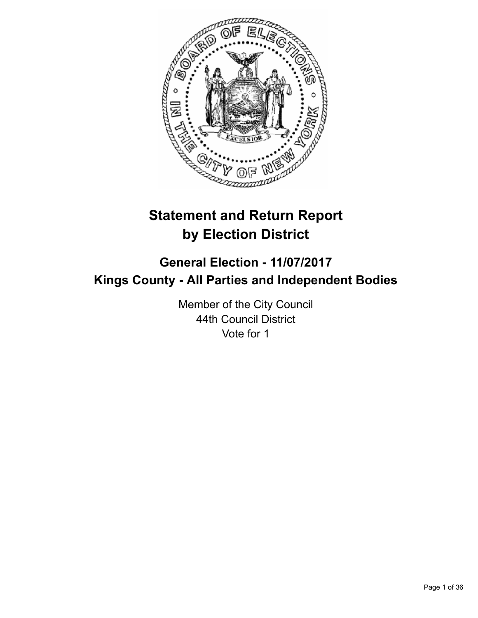

# **Statement and Return Report by Election District**

# **General Election - 11/07/2017 Kings County - All Parties and Independent Bodies**

Member of the City Council 44th Council District Vote for 1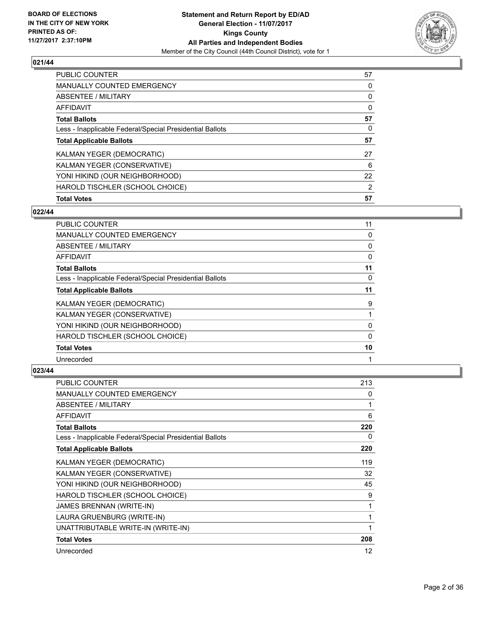

| <b>PUBLIC COUNTER</b>                                    | 57 |
|----------------------------------------------------------|----|
| MANUALLY COUNTED EMERGENCY                               | 0  |
| ABSENTEE / MILITARY                                      | 0  |
| AFFIDAVIT                                                | 0  |
| <b>Total Ballots</b>                                     | 57 |
| Less - Inapplicable Federal/Special Presidential Ballots | 0  |
| <b>Total Applicable Ballots</b>                          | 57 |
| KALMAN YEGER (DEMOCRATIC)                                | 27 |
| KALMAN YEGER (CONSERVATIVE)                              | 6  |
| YONI HIKIND (OUR NEIGHBORHOOD)                           | 22 |
| HAROLD TISCHLER (SCHOOL CHOICE)                          | 2  |
| <b>Total Votes</b>                                       | 57 |

# **022/44**

| <b>PUBLIC COUNTER</b>                                    | 11 |
|----------------------------------------------------------|----|
| <b>MANUALLY COUNTED EMERGENCY</b>                        | 0  |
| ABSENTEE / MILITARY                                      | 0  |
| AFFIDAVIT                                                | 0  |
| <b>Total Ballots</b>                                     | 11 |
| Less - Inapplicable Federal/Special Presidential Ballots | 0  |
| <b>Total Applicable Ballots</b>                          | 11 |
| KALMAN YEGER (DEMOCRATIC)                                | 9  |
| KALMAN YEGER (CONSERVATIVE)                              |    |
| YONI HIKIND (OUR NEIGHBORHOOD)                           | 0  |
| HAROLD TISCHLER (SCHOOL CHOICE)                          | 0  |
| <b>Total Votes</b>                                       | 10 |
| Unrecorded                                               |    |

| <b>PUBLIC COUNTER</b>                                    | 213 |
|----------------------------------------------------------|-----|
| MANUALLY COUNTED EMERGENCY                               | 0   |
| ABSENTEE / MILITARY                                      | 1   |
| <b>AFFIDAVIT</b>                                         | 6   |
| <b>Total Ballots</b>                                     | 220 |
| Less - Inapplicable Federal/Special Presidential Ballots | 0   |
| <b>Total Applicable Ballots</b>                          | 220 |
| KALMAN YEGER (DEMOCRATIC)                                | 119 |
| KALMAN YEGER (CONSERVATIVE)                              | 32  |
| YONI HIKIND (OUR NEIGHBORHOOD)                           | 45  |
| HAROLD TISCHLER (SCHOOL CHOICE)                          | 9   |
| <b>JAMES BRENNAN (WRITE-IN)</b>                          | 1   |
| LAURA GRUENBURG (WRITE-IN)                               | 1   |
| UNATTRIBUTABLE WRITE-IN (WRITE-IN)                       | 1   |
| <b>Total Votes</b>                                       | 208 |
| Unrecorded                                               | 12  |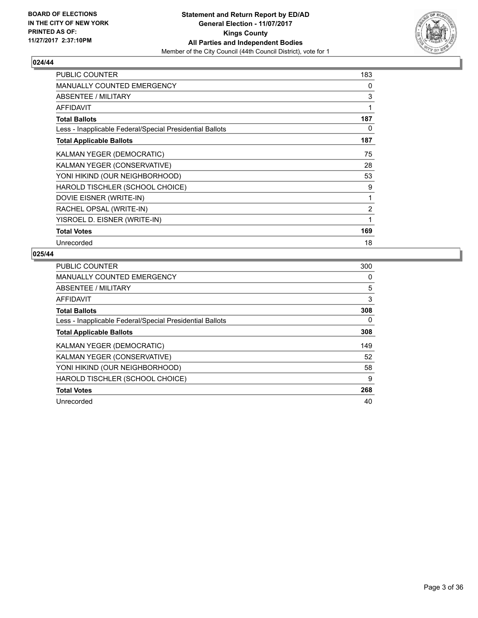

| <b>PUBLIC COUNTER</b>                                    | 183          |
|----------------------------------------------------------|--------------|
| <b>MANUALLY COUNTED EMERGENCY</b>                        | 0            |
| ABSENTEE / MILITARY                                      | 3            |
| <b>AFFIDAVIT</b>                                         | $\mathbf{1}$ |
| <b>Total Ballots</b>                                     | 187          |
| Less - Inapplicable Federal/Special Presidential Ballots | 0            |
| <b>Total Applicable Ballots</b>                          | 187          |
| KALMAN YEGER (DEMOCRATIC)                                | 75           |
| KALMAN YEGER (CONSERVATIVE)                              | 28           |
| YONI HIKIND (OUR NEIGHBORHOOD)                           | 53           |
| HAROLD TISCHLER (SCHOOL CHOICE)                          | 9            |
| DOVIE EISNER (WRITE-IN)                                  | 1            |
| RACHEL OPSAL (WRITE-IN)                                  | 2            |
| YISROEL D. EISNER (WRITE-IN)                             | 1            |
| <b>Total Votes</b>                                       | 169          |
| Unrecorded                                               | 18           |

| <b>PUBLIC COUNTER</b>                                    | 300 |
|----------------------------------------------------------|-----|
| <b>MANUALLY COUNTED EMERGENCY</b>                        | 0   |
| ABSENTEE / MILITARY                                      | 5   |
| AFFIDAVIT                                                | 3   |
| <b>Total Ballots</b>                                     | 308 |
| Less - Inapplicable Federal/Special Presidential Ballots | 0   |
| <b>Total Applicable Ballots</b>                          | 308 |
| KALMAN YEGER (DEMOCRATIC)                                | 149 |
| KALMAN YEGER (CONSERVATIVE)                              | 52  |
| YONI HIKIND (OUR NEIGHBORHOOD)                           | 58  |
| HAROLD TISCHLER (SCHOOL CHOICE)                          | 9   |
| <b>Total Votes</b>                                       | 268 |
| Unrecorded                                               | 40  |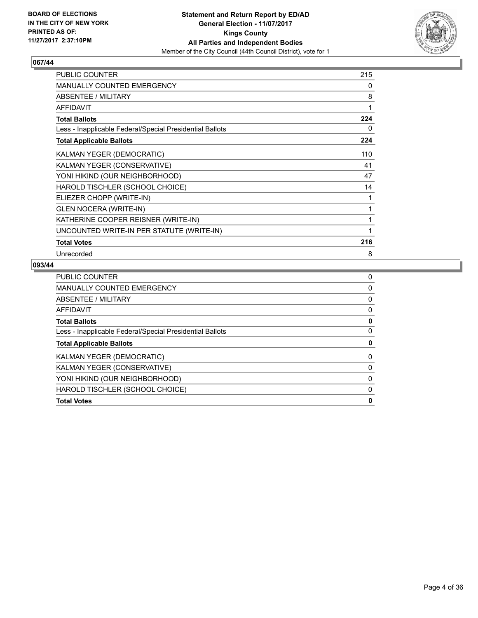

| <b>PUBLIC COUNTER</b>                                    | 215 |
|----------------------------------------------------------|-----|
| <b>MANUALLY COUNTED EMERGENCY</b>                        | 0   |
| <b>ABSENTEE / MILITARY</b>                               | 8   |
| <b>AFFIDAVIT</b>                                         | 1   |
| <b>Total Ballots</b>                                     | 224 |
| Less - Inapplicable Federal/Special Presidential Ballots | 0   |
| <b>Total Applicable Ballots</b>                          | 224 |
| KALMAN YEGER (DEMOCRATIC)                                | 110 |
| KALMAN YEGER (CONSERVATIVE)                              | 41  |
| YONI HIKIND (OUR NEIGHBORHOOD)                           | 47  |
| HAROLD TISCHLER (SCHOOL CHOICE)                          | 14  |
| ELIEZER CHOPP (WRITE-IN)                                 | 1   |
| <b>GLEN NOCERA (WRITE-IN)</b>                            | 1   |
| KATHERINE COOPER REISNER (WRITE-IN)                      | 1   |
| UNCOUNTED WRITE-IN PER STATUTE (WRITE-IN)                | 1   |
| <b>Total Votes</b>                                       | 216 |
| Unrecorded                                               | 8   |

| <b>PUBLIC COUNTER</b>                                    | 0 |
|----------------------------------------------------------|---|
| MANUALLY COUNTED EMERGENCY                               | 0 |
| ABSENTEE / MILITARY                                      | 0 |
| AFFIDAVIT                                                | 0 |
| <b>Total Ballots</b>                                     | 0 |
| Less - Inapplicable Federal/Special Presidential Ballots | 0 |
| <b>Total Applicable Ballots</b>                          | 0 |
| <b>KALMAN YEGER (DEMOCRATIC)</b>                         | 0 |
| KALMAN YEGER (CONSERVATIVE)                              | 0 |
| YONI HIKIND (OUR NEIGHBORHOOD)                           | 0 |
| HAROLD TISCHLER (SCHOOL CHOICE)                          | 0 |
| <b>Total Votes</b>                                       | 0 |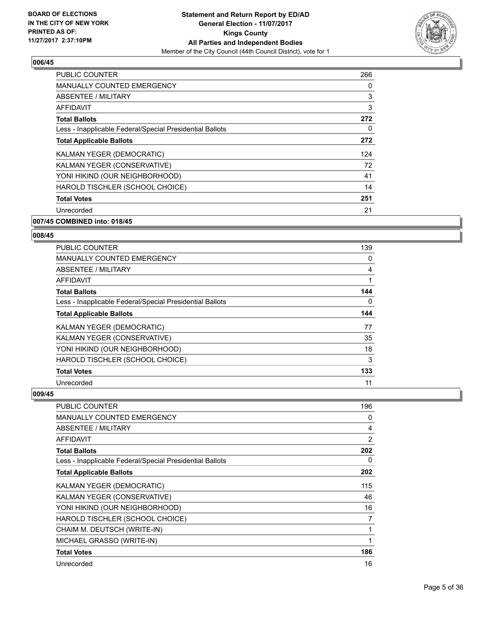

| <b>PUBLIC COUNTER</b>                                    | 266 |
|----------------------------------------------------------|-----|
| MANUALLY COUNTED EMERGENCY                               | 0   |
| ABSENTEE / MILITARY                                      | 3   |
| <b>AFFIDAVIT</b>                                         | 3   |
| <b>Total Ballots</b>                                     | 272 |
| Less - Inapplicable Federal/Special Presidential Ballots | 0   |
| <b>Total Applicable Ballots</b>                          | 272 |
| KALMAN YEGER (DEMOCRATIC)                                | 124 |
| KALMAN YEGER (CONSERVATIVE)                              | 72  |
| YONI HIKIND (OUR NEIGHBORHOOD)                           | 41  |
| HAROLD TISCHLER (SCHOOL CHOICE)                          | 14  |
| <b>Total Votes</b>                                       | 251 |
| Unrecorded                                               | 21  |
|                                                          |     |

#### **007/45 COMBINED into: 018/45**

#### **008/45**

| <b>PUBLIC COUNTER</b>                                    | 139 |
|----------------------------------------------------------|-----|
| MANUALLY COUNTED EMERGENCY                               | 0   |
| ABSENTEE / MILITARY                                      | 4   |
| <b>AFFIDAVIT</b>                                         | 1   |
| <b>Total Ballots</b>                                     | 144 |
| Less - Inapplicable Federal/Special Presidential Ballots | 0   |
| <b>Total Applicable Ballots</b>                          | 144 |
| KALMAN YEGER (DEMOCRATIC)                                | 77  |
| KALMAN YEGER (CONSERVATIVE)                              | 35  |
| YONI HIKIND (OUR NEIGHBORHOOD)                           | 18  |
| HAROLD TISCHLER (SCHOOL CHOICE)                          | 3   |
| <b>Total Votes</b>                                       | 133 |
| Unrecorded                                               | 11  |

| PUBLIC COUNTER                                           | 196 |
|----------------------------------------------------------|-----|
| <b>MANUALLY COUNTED EMERGENCY</b>                        | 0   |
| ABSENTEE / MILITARY                                      | 4   |
| <b>AFFIDAVIT</b>                                         | 2   |
| <b>Total Ballots</b>                                     | 202 |
| Less - Inapplicable Federal/Special Presidential Ballots | 0   |
| <b>Total Applicable Ballots</b>                          | 202 |
| KALMAN YEGER (DEMOCRATIC)                                | 115 |
| KALMAN YEGER (CONSERVATIVE)                              | 46  |
| YONI HIKIND (OUR NEIGHBORHOOD)                           | 16  |
| HAROLD TISCHLER (SCHOOL CHOICE)                          | 7   |
| CHAIM M. DEUTSCH (WRITE-IN)                              | 1   |
| MICHAEL GRASSO (WRITE-IN)                                | 1   |
| <b>Total Votes</b>                                       | 186 |
| Unrecorded                                               | 16  |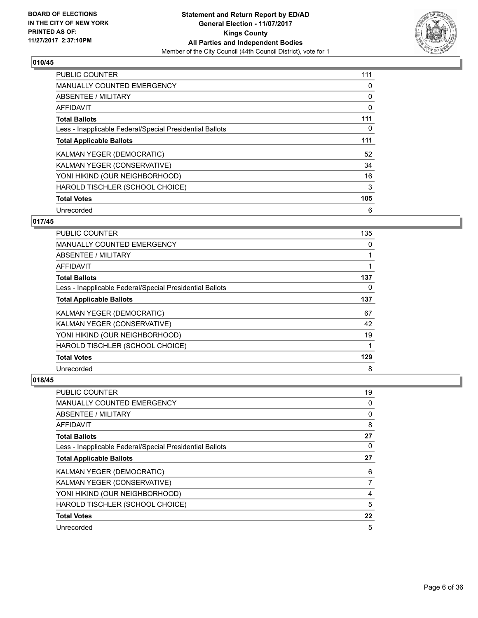

| <b>PUBLIC COUNTER</b>                                    | 111 |
|----------------------------------------------------------|-----|
| <b>MANUALLY COUNTED EMERGENCY</b>                        | 0   |
| ABSENTEE / MILITARY                                      | 0   |
| <b>AFFIDAVIT</b>                                         | 0   |
| <b>Total Ballots</b>                                     | 111 |
| Less - Inapplicable Federal/Special Presidential Ballots | 0   |
| <b>Total Applicable Ballots</b>                          | 111 |
| KALMAN YEGER (DEMOCRATIC)                                | 52  |
| KALMAN YEGER (CONSERVATIVE)                              | 34  |
| YONI HIKIND (OUR NEIGHBORHOOD)                           | 16  |
| HAROLD TISCHLER (SCHOOL CHOICE)                          | 3   |
| <b>Total Votes</b>                                       | 105 |
| Unrecorded                                               | 6   |

# **017/45**

| <b>PUBLIC COUNTER</b>                                    | 135 |
|----------------------------------------------------------|-----|
| <b>MANUALLY COUNTED EMERGENCY</b>                        | 0   |
| ABSENTEE / MILITARY                                      |     |
| AFFIDAVIT                                                |     |
| <b>Total Ballots</b>                                     | 137 |
| Less - Inapplicable Federal/Special Presidential Ballots | 0   |
| <b>Total Applicable Ballots</b>                          | 137 |
| KALMAN YEGER (DEMOCRATIC)                                | 67  |
| KALMAN YEGER (CONSERVATIVE)                              | 42  |
| YONI HIKIND (OUR NEIGHBORHOOD)                           | 19  |
| HAROLD TISCHLER (SCHOOL CHOICE)                          |     |
| <b>Total Votes</b>                                       | 129 |
| Unrecorded                                               | 8   |

| PUBLIC COUNTER                                           | 19 |
|----------------------------------------------------------|----|
| MANUALLY COUNTED EMERGENCY                               | 0  |
| ABSENTEE / MILITARY                                      | 0  |
| AFFIDAVIT                                                | 8  |
| <b>Total Ballots</b>                                     | 27 |
| Less - Inapplicable Federal/Special Presidential Ballots | 0  |
| <b>Total Applicable Ballots</b>                          | 27 |
| KALMAN YEGER (DEMOCRATIC)                                | 6  |
| KALMAN YEGER (CONSERVATIVE)                              | 7  |
| YONI HIKIND (OUR NEIGHBORHOOD)                           | 4  |
| HAROLD TISCHLER (SCHOOL CHOICE)                          | 5  |
| <b>Total Votes</b>                                       | 22 |
| Unrecorded                                               | 5  |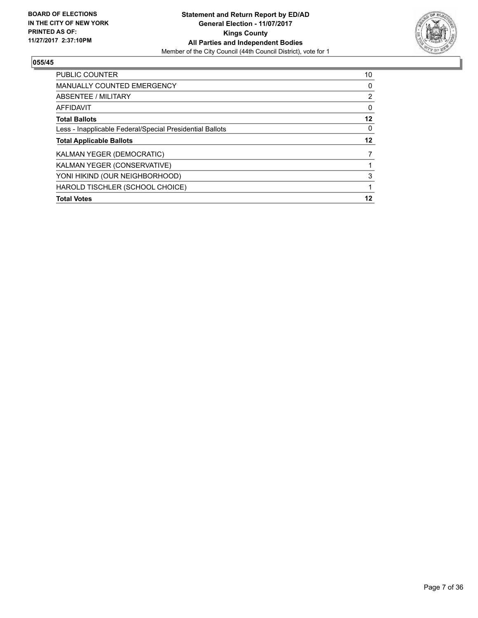

| <b>PUBLIC COUNTER</b>                                    | 10             |
|----------------------------------------------------------|----------------|
| <b>MANUALLY COUNTED EMERGENCY</b>                        | 0              |
| ABSENTEE / MILITARY                                      | $\overline{2}$ |
| <b>AFFIDAVIT</b>                                         | 0              |
| <b>Total Ballots</b>                                     | 12             |
| Less - Inapplicable Federal/Special Presidential Ballots | 0              |
| <b>Total Applicable Ballots</b>                          | 12             |
| <b>KALMAN YEGER (DEMOCRATIC)</b>                         |                |
| KALMAN YEGER (CONSERVATIVE)                              |                |
| YONI HIKIND (OUR NEIGHBORHOOD)                           | 3              |
| HAROLD TISCHLER (SCHOOL CHOICE)                          |                |
| <b>Total Votes</b>                                       | 12             |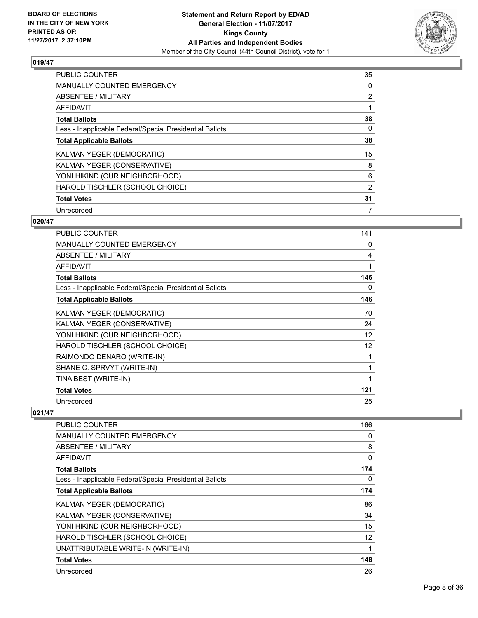

| <b>PUBLIC COUNTER</b>                                    | 35             |
|----------------------------------------------------------|----------------|
| <b>MANUALLY COUNTED EMERGENCY</b>                        | 0              |
| ABSENTEE / MILITARY                                      | $\overline{2}$ |
| AFFIDAVIT                                                |                |
| <b>Total Ballots</b>                                     | 38             |
| Less - Inapplicable Federal/Special Presidential Ballots | 0              |
| <b>Total Applicable Ballots</b>                          | 38             |
| KALMAN YEGER (DEMOCRATIC)                                | 15             |
| KALMAN YEGER (CONSERVATIVE)                              | 8              |
| YONI HIKIND (OUR NEIGHBORHOOD)                           | 6              |
| HAROLD TISCHLER (SCHOOL CHOICE)                          | 2              |
| <b>Total Votes</b>                                       | 31             |
| Unrecorded                                               | 7              |

# **020/47**

| <b>PUBLIC COUNTER</b>                                    | 141 |
|----------------------------------------------------------|-----|
| <b>MANUALLY COUNTED EMERGENCY</b>                        | 0   |
| <b>ABSENTEE / MILITARY</b>                               | 4   |
| <b>AFFIDAVIT</b>                                         | 1   |
| <b>Total Ballots</b>                                     | 146 |
| Less - Inapplicable Federal/Special Presidential Ballots | 0   |
| <b>Total Applicable Ballots</b>                          | 146 |
| KALMAN YEGER (DEMOCRATIC)                                | 70  |
| KALMAN YEGER (CONSERVATIVE)                              | 24  |
| YONI HIKIND (OUR NEIGHBORHOOD)                           | 12  |
| HAROLD TISCHLER (SCHOOL CHOICE)                          | 12  |
| RAIMONDO DENARO (WRITE-IN)                               |     |
| SHANE C. SPRVYT (WRITE-IN)                               | 1   |
| TINA BEST (WRITE-IN)                                     | 1   |
| <b>Total Votes</b>                                       | 121 |
| Unrecorded                                               | 25  |

| PUBLIC COUNTER                                           | 166          |
|----------------------------------------------------------|--------------|
| <b>MANUALLY COUNTED EMERGENCY</b>                        | 0            |
| ABSENTEE / MILITARY                                      | 8            |
| AFFIDAVIT                                                | $\mathbf{0}$ |
| <b>Total Ballots</b>                                     | 174          |
| Less - Inapplicable Federal/Special Presidential Ballots | 0            |
| <b>Total Applicable Ballots</b>                          | 174          |
| KALMAN YEGER (DEMOCRATIC)                                | 86           |
| KALMAN YEGER (CONSERVATIVE)                              | 34           |
| YONI HIKIND (OUR NEIGHBORHOOD)                           | 15           |
| HAROLD TISCHLER (SCHOOL CHOICE)                          | 12           |
| UNATTRIBUTABLE WRITE-IN (WRITE-IN)                       | 1            |
| <b>Total Votes</b>                                       | 148          |
| Unrecorded                                               | 26           |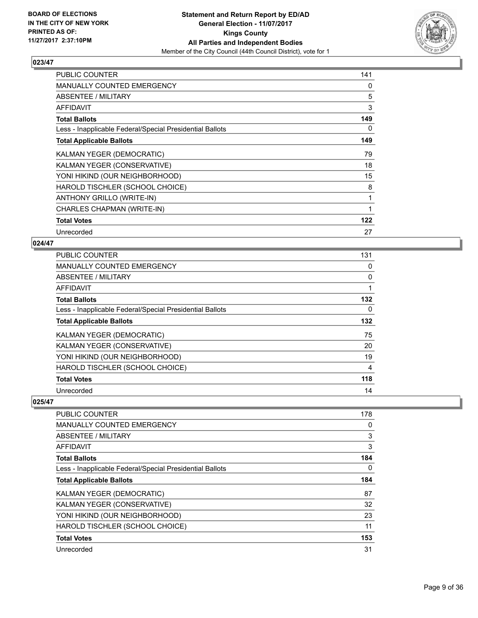

| <b>PUBLIC COUNTER</b>                                    | 141 |
|----------------------------------------------------------|-----|
| MANUALLY COUNTED EMERGENCY                               | 0   |
| ABSENTEE / MILITARY                                      | 5   |
| AFFIDAVIT                                                | 3   |
| <b>Total Ballots</b>                                     | 149 |
| Less - Inapplicable Federal/Special Presidential Ballots | 0   |
| <b>Total Applicable Ballots</b>                          | 149 |
| KALMAN YEGER (DEMOCRATIC)                                | 79  |
| KALMAN YEGER (CONSERVATIVE)                              | 18  |
| YONI HIKIND (OUR NEIGHBORHOOD)                           | 15  |
| HAROLD TISCHLER (SCHOOL CHOICE)                          | 8   |
| ANTHONY GRILLO (WRITE-IN)                                | 1   |
| CHARLES CHAPMAN (WRITE-IN)                               | 1   |
| <b>Total Votes</b>                                       | 122 |
| Unrecorded                                               | 27  |

# **024/47**

| <b>PUBLIC COUNTER</b>                                    | 131 |
|----------------------------------------------------------|-----|
| <b>MANUALLY COUNTED EMERGENCY</b>                        | 0   |
| ABSENTEE / MILITARY                                      | 0   |
| AFFIDAVIT                                                |     |
| <b>Total Ballots</b>                                     | 132 |
| Less - Inapplicable Federal/Special Presidential Ballots | 0   |
| <b>Total Applicable Ballots</b>                          | 132 |
| <b>KALMAN YEGER (DEMOCRATIC)</b>                         | 75  |
| KALMAN YEGER (CONSERVATIVE)                              | 20  |
| YONI HIKIND (OUR NEIGHBORHOOD)                           | 19  |
| HAROLD TISCHLER (SCHOOL CHOICE)                          | 4   |
| <b>Total Votes</b>                                       | 118 |
| Unrecorded                                               | 14  |

| <b>PUBLIC COUNTER</b>                                    | 178      |
|----------------------------------------------------------|----------|
| <b>MANUALLY COUNTED EMERGENCY</b>                        | 0        |
| ABSENTEE / MILITARY                                      | 3        |
| AFFIDAVIT                                                | 3        |
| <b>Total Ballots</b>                                     | 184      |
| Less - Inapplicable Federal/Special Presidential Ballots | $\Omega$ |
| <b>Total Applicable Ballots</b>                          | 184      |
| KALMAN YEGER (DEMOCRATIC)                                | 87       |
| KALMAN YEGER (CONSERVATIVE)                              | 32       |
| YONI HIKIND (OUR NEIGHBORHOOD)                           | 23       |
| HAROLD TISCHLER (SCHOOL CHOICE)                          | 11       |
| <b>Total Votes</b>                                       | 153      |
| Unrecorded                                               | 31       |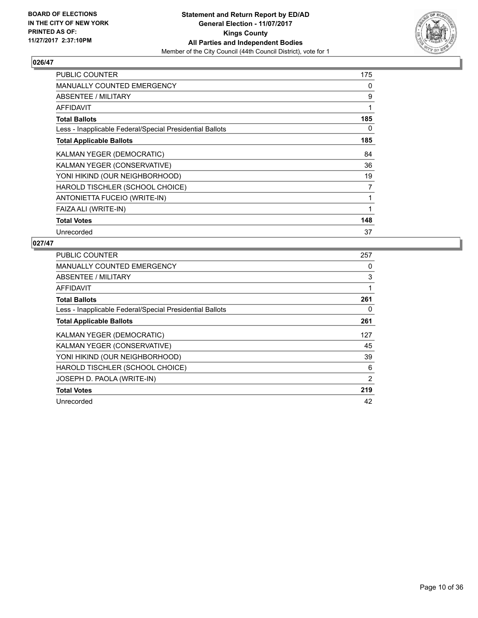

| <b>PUBLIC COUNTER</b>                                    | 175            |
|----------------------------------------------------------|----------------|
| <b>MANUALLY COUNTED EMERGENCY</b>                        | 0              |
| ABSENTEE / MILITARY                                      | 9              |
| AFFIDAVIT                                                | 1              |
| <b>Total Ballots</b>                                     | 185            |
| Less - Inapplicable Federal/Special Presidential Ballots | 0              |
| <b>Total Applicable Ballots</b>                          | 185            |
| KALMAN YEGER (DEMOCRATIC)                                | 84             |
| KALMAN YEGER (CONSERVATIVE)                              | 36             |
| YONI HIKIND (OUR NEIGHBORHOOD)                           | 19             |
| HAROLD TISCHLER (SCHOOL CHOICE)                          | $\overline{7}$ |
| ANTONIETTA FUCEIO (WRITE-IN)                             | 1              |
| FAIZA ALI (WRITE-IN)                                     | 1              |
| <b>Total Votes</b>                                       | 148            |
| Unrecorded                                               | 37             |

| PUBLIC COUNTER                                           | 257 |
|----------------------------------------------------------|-----|
| <b>MANUALLY COUNTED EMERGENCY</b>                        | 0   |
| <b>ABSENTEE / MILITARY</b>                               | 3   |
| AFFIDAVIT                                                |     |
| <b>Total Ballots</b>                                     | 261 |
| Less - Inapplicable Federal/Special Presidential Ballots | 0   |
| <b>Total Applicable Ballots</b>                          | 261 |
| KALMAN YEGER (DEMOCRATIC)                                | 127 |
| KALMAN YEGER (CONSERVATIVE)                              | 45  |
| YONI HIKIND (OUR NEIGHBORHOOD)                           | 39  |
| HAROLD TISCHLER (SCHOOL CHOICE)                          | 6   |
| JOSEPH D. PAOLA (WRITE-IN)                               | 2   |
| <b>Total Votes</b>                                       | 219 |
| Unrecorded                                               | 42  |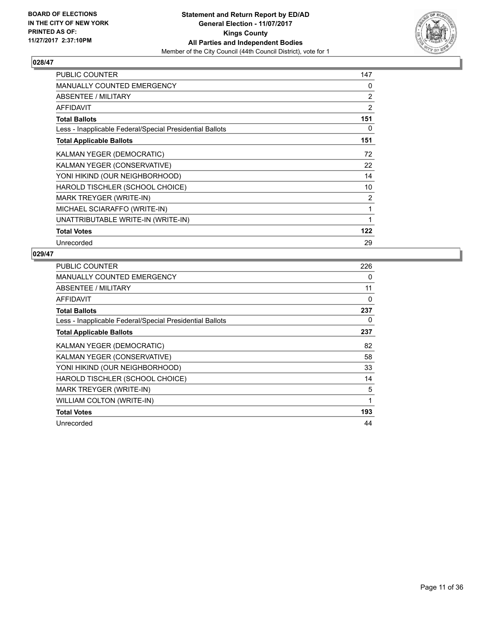

| <b>PUBLIC COUNTER</b>                                    | 147 |
|----------------------------------------------------------|-----|
| <b>MANUALLY COUNTED EMERGENCY</b>                        | 0   |
| ABSENTEE / MILITARY                                      | 2   |
| <b>AFFIDAVIT</b>                                         | 2   |
| <b>Total Ballots</b>                                     | 151 |
| Less - Inapplicable Federal/Special Presidential Ballots | 0   |
| <b>Total Applicable Ballots</b>                          | 151 |
| <b>KALMAN YEGER (DEMOCRATIC)</b>                         | 72  |
| KALMAN YEGER (CONSERVATIVE)                              | 22  |
| YONI HIKIND (OUR NEIGHBORHOOD)                           | 14  |
| HAROLD TISCHLER (SCHOOL CHOICE)                          | 10  |
| MARK TREYGER (WRITE-IN)                                  | 2   |
| MICHAEL SCIARAFFO (WRITE-IN)                             | 1   |
| UNATTRIBUTABLE WRITE-IN (WRITE-IN)                       | 1   |
| <b>Total Votes</b>                                       | 122 |
| Unrecorded                                               | 29  |

| <b>PUBLIC COUNTER</b>                                    | 226 |
|----------------------------------------------------------|-----|
| MANUALLY COUNTED EMERGENCY                               | 0   |
| <b>ABSENTEE / MILITARY</b>                               | 11  |
| <b>AFFIDAVIT</b>                                         | 0   |
| <b>Total Ballots</b>                                     | 237 |
| Less - Inapplicable Federal/Special Presidential Ballots | 0   |
| <b>Total Applicable Ballots</b>                          | 237 |
| KALMAN YEGER (DEMOCRATIC)                                | 82  |
| KALMAN YEGER (CONSERVATIVE)                              | 58  |
| YONI HIKIND (OUR NEIGHBORHOOD)                           | 33  |
| HAROLD TISCHLER (SCHOOL CHOICE)                          | 14  |
| MARK TREYGER (WRITE-IN)                                  | 5   |
| <b>WILLIAM COLTON (WRITE-IN)</b>                         | 1   |
| <b>Total Votes</b>                                       | 193 |
| Unrecorded                                               | 44  |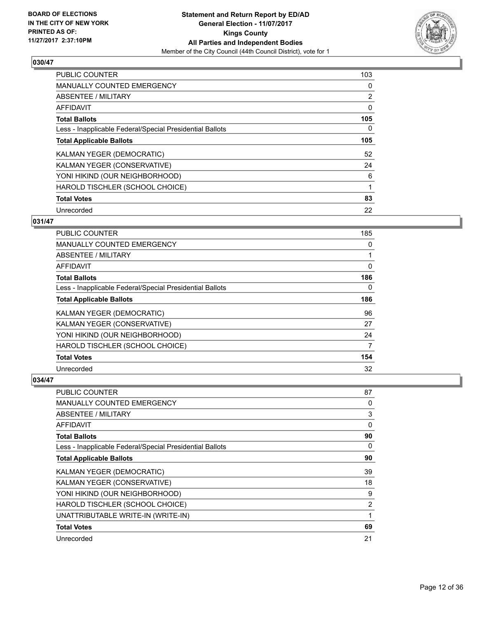

| <b>PUBLIC COUNTER</b>                                    | 103 |
|----------------------------------------------------------|-----|
| <b>MANUALLY COUNTED EMERGENCY</b>                        | 0   |
| ABSENTEE / MILITARY                                      | 2   |
| AFFIDAVIT                                                | 0   |
| <b>Total Ballots</b>                                     | 105 |
| Less - Inapplicable Federal/Special Presidential Ballots | 0   |
| <b>Total Applicable Ballots</b>                          | 105 |
| <b>KALMAN YEGER (DEMOCRATIC)</b>                         | 52  |
| KALMAN YEGER (CONSERVATIVE)                              | 24  |
| YONI HIKIND (OUR NEIGHBORHOOD)                           | 6   |
| HAROLD TISCHLER (SCHOOL CHOICE)                          | 1   |
| <b>Total Votes</b>                                       | 83  |
| Unrecorded                                               | 22  |

#### **031/47**

| <b>PUBLIC COUNTER</b>                                    | 185 |
|----------------------------------------------------------|-----|
| <b>MANUALLY COUNTED EMERGENCY</b>                        | 0   |
| ABSENTEE / MILITARY                                      |     |
| AFFIDAVIT                                                | 0   |
| <b>Total Ballots</b>                                     | 186 |
| Less - Inapplicable Federal/Special Presidential Ballots | 0   |
| <b>Total Applicable Ballots</b>                          | 186 |
| <b>KALMAN YEGER (DEMOCRATIC)</b>                         | 96  |
| KALMAN YEGER (CONSERVATIVE)                              | 27  |
| YONI HIKIND (OUR NEIGHBORHOOD)                           | 24  |
| HAROLD TISCHLER (SCHOOL CHOICE)                          | 7   |
| <b>Total Votes</b>                                       | 154 |
| Unrecorded                                               | 32  |

| PUBLIC COUNTER                                           | 87 |
|----------------------------------------------------------|----|
| MANUALLY COUNTED EMERGENCY                               | 0  |
| ABSENTEE / MILITARY                                      | 3  |
| AFFIDAVIT                                                | 0  |
| <b>Total Ballots</b>                                     | 90 |
| Less - Inapplicable Federal/Special Presidential Ballots | 0  |
| <b>Total Applicable Ballots</b>                          | 90 |
| KALMAN YEGER (DEMOCRATIC)                                | 39 |
| KALMAN YEGER (CONSERVATIVE)                              | 18 |
| YONI HIKIND (OUR NEIGHBORHOOD)                           | 9  |
| HAROLD TISCHLER (SCHOOL CHOICE)                          | 2  |
| UNATTRIBUTABLE WRITE-IN (WRITE-IN)                       | 1  |
| <b>Total Votes</b>                                       | 69 |
| Unrecorded                                               | 21 |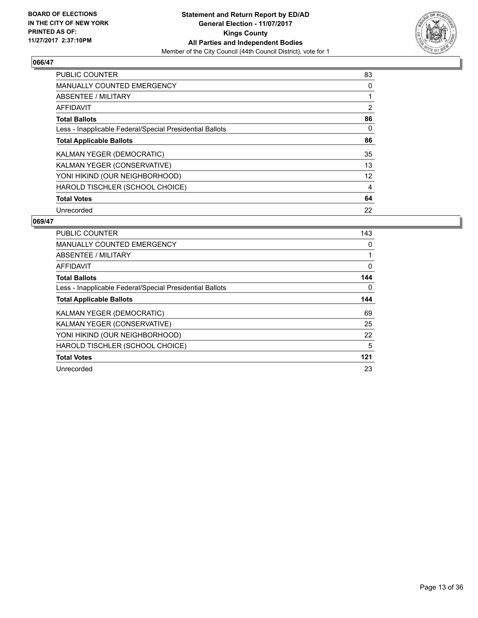

| <b>PUBLIC COUNTER</b>                                    | 83             |
|----------------------------------------------------------|----------------|
| <b>MANUALLY COUNTED EMERGENCY</b>                        | 0              |
| ABSENTEE / MILITARY                                      |                |
| <b>AFFIDAVIT</b>                                         | $\overline{2}$ |
| <b>Total Ballots</b>                                     | 86             |
| Less - Inapplicable Federal/Special Presidential Ballots | 0              |
| <b>Total Applicable Ballots</b>                          | 86             |
| KALMAN YEGER (DEMOCRATIC)                                | 35             |
| KALMAN YEGER (CONSERVATIVE)                              | 13             |
| YONI HIKIND (OUR NEIGHBORHOOD)                           | 12             |
| HAROLD TISCHLER (SCHOOL CHOICE)                          | 4              |
| <b>Total Votes</b>                                       | 64             |
| Unrecorded                                               | 22             |

| PUBLIC COUNTER                                           | 143 |
|----------------------------------------------------------|-----|
| <b>MANUALLY COUNTED EMERGENCY</b>                        | 0   |
| ABSENTEE / MILITARY                                      |     |
| <b>AFFIDAVIT</b>                                         | 0   |
| <b>Total Ballots</b>                                     | 144 |
| Less - Inapplicable Federal/Special Presidential Ballots | 0   |
| <b>Total Applicable Ballots</b>                          | 144 |
| KALMAN YEGER (DEMOCRATIC)                                | 69  |
| KALMAN YEGER (CONSERVATIVE)                              | 25  |
| YONI HIKIND (OUR NEIGHBORHOOD)                           | 22  |
| HAROLD TISCHLER (SCHOOL CHOICE)                          | 5   |
| <b>Total Votes</b>                                       | 121 |
| Unrecorded                                               | 23  |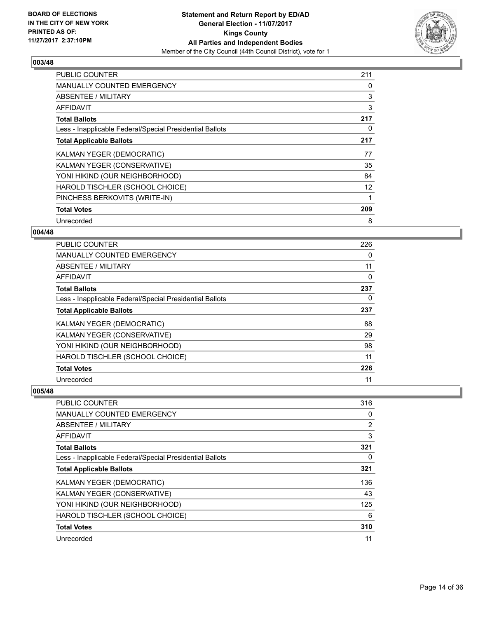

| PUBLIC COUNTER                                           | 211 |
|----------------------------------------------------------|-----|
| <b>MANUALLY COUNTED EMERGENCY</b>                        | 0   |
| <b>ABSENTEE / MILITARY</b>                               | 3   |
| AFFIDAVIT                                                | 3   |
| <b>Total Ballots</b>                                     | 217 |
| Less - Inapplicable Federal/Special Presidential Ballots | 0   |
| <b>Total Applicable Ballots</b>                          | 217 |
| <b>KALMAN YEGER (DEMOCRATIC)</b>                         | 77  |
| KALMAN YEGER (CONSERVATIVE)                              | 35  |
| YONI HIKIND (OUR NEIGHBORHOOD)                           | 84  |
| HAROLD TISCHLER (SCHOOL CHOICE)                          | 12  |
| PINCHESS BERKOVITS (WRITE-IN)                            |     |
| <b>Total Votes</b>                                       |     |
|                                                          | 209 |

# **004/48**

| <b>PUBLIC COUNTER</b>                                    | 226 |
|----------------------------------------------------------|-----|
| MANUALLY COUNTED EMERGENCY                               | 0   |
| ABSENTEE / MILITARY                                      | 11  |
| AFFIDAVIT                                                | 0   |
| <b>Total Ballots</b>                                     | 237 |
| Less - Inapplicable Federal/Special Presidential Ballots | 0   |
| <b>Total Applicable Ballots</b>                          | 237 |
| KALMAN YEGER (DEMOCRATIC)                                | 88  |
| KALMAN YEGER (CONSERVATIVE)                              | 29  |
| YONI HIKIND (OUR NEIGHBORHOOD)                           | 98  |
| HAROLD TISCHLER (SCHOOL CHOICE)                          | 11  |
| <b>Total Votes</b>                                       | 226 |
| Unrecorded                                               | 11  |

| <b>PUBLIC COUNTER</b>                                    | 316            |
|----------------------------------------------------------|----------------|
| <b>MANUALLY COUNTED EMERGENCY</b>                        | 0              |
| ABSENTEE / MILITARY                                      | $\overline{2}$ |
| AFFIDAVIT                                                | 3              |
| <b>Total Ballots</b>                                     | 321            |
| Less - Inapplicable Federal/Special Presidential Ballots | 0              |
| <b>Total Applicable Ballots</b>                          | 321            |
| KALMAN YEGER (DEMOCRATIC)                                | 136            |
| KALMAN YEGER (CONSERVATIVE)                              | 43             |
| YONI HIKIND (OUR NEIGHBORHOOD)                           | 125            |
| HAROLD TISCHLER (SCHOOL CHOICE)                          | 6              |
| <b>Total Votes</b>                                       | 310            |
| Unrecorded                                               | 11             |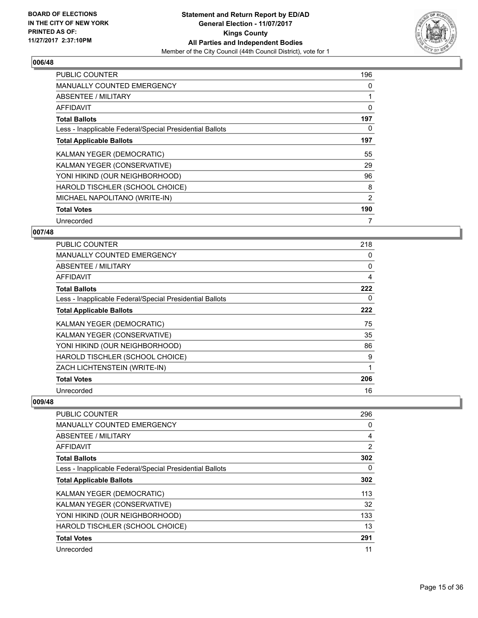

| <b>PUBLIC COUNTER</b>                                    | 196 |
|----------------------------------------------------------|-----|
| <b>MANUALLY COUNTED EMERGENCY</b>                        | 0   |
| ABSENTEE / MILITARY                                      |     |
| <b>AFFIDAVIT</b>                                         | 0   |
| <b>Total Ballots</b>                                     | 197 |
| Less - Inapplicable Federal/Special Presidential Ballots | 0   |
| <b>Total Applicable Ballots</b>                          | 197 |
| KALMAN YEGER (DEMOCRATIC)                                | 55  |
| KALMAN YEGER (CONSERVATIVE)                              | 29  |
| YONI HIKIND (OUR NEIGHBORHOOD)                           | 96  |
| HAROLD TISCHLER (SCHOOL CHOICE)                          | 8   |
| MICHAEL NAPOLITANO (WRITE-IN)                            | 2   |
| <b>Total Votes</b>                                       | 190 |
| Unrecorded                                               | 7   |

# **007/48**

| <b>PUBLIC COUNTER</b>                                    | 218 |
|----------------------------------------------------------|-----|
| <b>MANUALLY COUNTED EMERGENCY</b>                        | 0   |
| ABSENTEE / MILITARY                                      | 0   |
| <b>AFFIDAVIT</b>                                         | 4   |
| <b>Total Ballots</b>                                     | 222 |
| Less - Inapplicable Federal/Special Presidential Ballots | 0   |
| <b>Total Applicable Ballots</b>                          | 222 |
| KALMAN YEGER (DEMOCRATIC)                                | 75  |
| KALMAN YEGER (CONSERVATIVE)                              | 35  |
| YONI HIKIND (OUR NEIGHBORHOOD)                           | 86  |
| HAROLD TISCHLER (SCHOOL CHOICE)                          | 9   |
| ZACH LICHTENSTEIN (WRITE-IN)                             | 1   |
| <b>Total Votes</b>                                       | 206 |
| Unrecorded                                               | 16  |

| <b>PUBLIC COUNTER</b>                                    | 296 |
|----------------------------------------------------------|-----|
| <b>MANUALLY COUNTED EMERGENCY</b>                        | 0   |
| <b>ABSENTEE / MILITARY</b>                               | 4   |
| AFFIDAVIT                                                | 2   |
| <b>Total Ballots</b>                                     | 302 |
| Less - Inapplicable Federal/Special Presidential Ballots | 0   |
| <b>Total Applicable Ballots</b>                          | 302 |
| KALMAN YEGER (DEMOCRATIC)                                | 113 |
| KALMAN YEGER (CONSERVATIVE)                              | 32  |
| YONI HIKIND (OUR NEIGHBORHOOD)                           | 133 |
| HAROLD TISCHLER (SCHOOL CHOICE)                          | 13  |
| <b>Total Votes</b>                                       | 291 |
| Unrecorded                                               | 11  |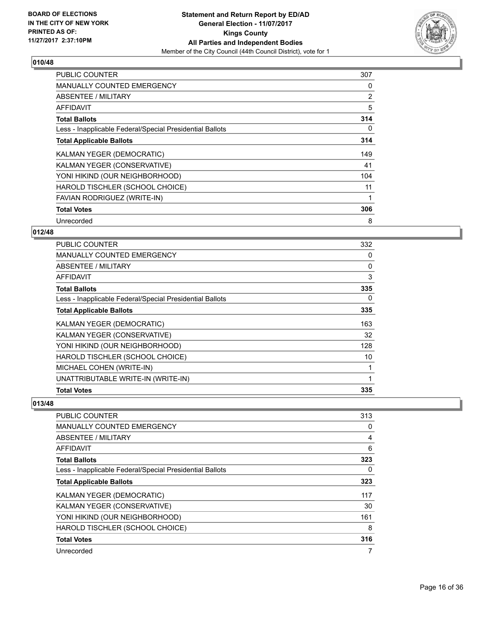

| <b>PUBLIC COUNTER</b>                                    | 307 |
|----------------------------------------------------------|-----|
| <b>MANUALLY COUNTED EMERGENCY</b>                        | 0   |
| <b>ABSENTEE / MILITARY</b>                               | 2   |
| AFFIDAVIT                                                | 5   |
| <b>Total Ballots</b>                                     | 314 |
| Less - Inapplicable Federal/Special Presidential Ballots | 0   |
| <b>Total Applicable Ballots</b>                          | 314 |
| KALMAN YEGER (DEMOCRATIC)                                | 149 |
| KALMAN YEGER (CONSERVATIVE)                              | 41  |
| YONI HIKIND (OUR NEIGHBORHOOD)                           | 104 |
| HAROLD TISCHLER (SCHOOL CHOICE)                          | 11  |
| <b>FAVIAN RODRIGUEZ (WRITE-IN)</b>                       |     |
| <b>Total Votes</b>                                       | 306 |
| Unrecorded                                               | 8   |

# **012/48**

| <b>PUBLIC COUNTER</b>                                    | 332 |
|----------------------------------------------------------|-----|
| <b>MANUALLY COUNTED EMERGENCY</b>                        | 0   |
| ABSENTEE / MILITARY                                      | 0   |
| AFFIDAVIT                                                | 3   |
| <b>Total Ballots</b>                                     | 335 |
| Less - Inapplicable Federal/Special Presidential Ballots | 0   |
| <b>Total Applicable Ballots</b>                          | 335 |
| KALMAN YEGER (DEMOCRATIC)                                | 163 |
| KALMAN YEGER (CONSERVATIVE)                              | 32  |
| YONI HIKIND (OUR NEIGHBORHOOD)                           | 128 |
| HAROLD TISCHLER (SCHOOL CHOICE)                          | 10  |
| MICHAEL COHEN (WRITE-IN)                                 |     |
| UNATTRIBUTABLE WRITE-IN (WRITE-IN)                       | 1   |
| <b>Total Votes</b>                                       | 335 |

| <b>PUBLIC COUNTER</b>                                    | 313      |
|----------------------------------------------------------|----------|
| <b>MANUALLY COUNTED EMERGENCY</b>                        | 0        |
| ABSENTEE / MILITARY                                      | 4        |
| AFFIDAVIT                                                | 6        |
| <b>Total Ballots</b>                                     | 323      |
| Less - Inapplicable Federal/Special Presidential Ballots | $\Omega$ |
| <b>Total Applicable Ballots</b>                          | 323      |
| KALMAN YEGER (DEMOCRATIC)                                | 117      |
| KALMAN YEGER (CONSERVATIVE)                              | 30       |
| YONI HIKIND (OUR NEIGHBORHOOD)                           | 161      |
| HAROLD TISCHLER (SCHOOL CHOICE)                          | 8        |
| <b>Total Votes</b>                                       | 316      |
| Unrecorded                                               | 7        |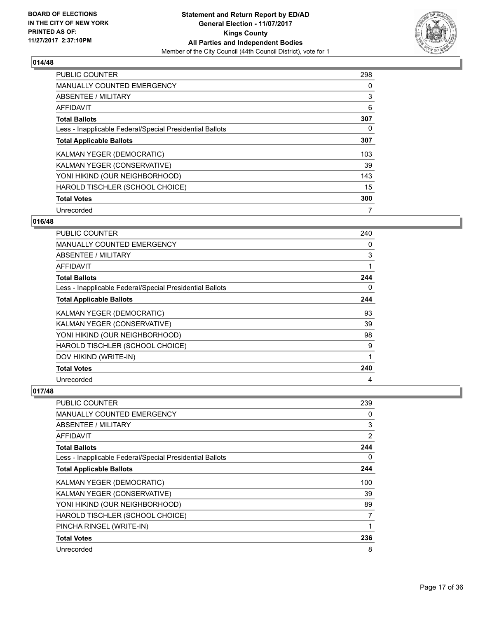

| <b>PUBLIC COUNTER</b>                                    | 298 |
|----------------------------------------------------------|-----|
| <b>MANUALLY COUNTED EMERGENCY</b>                        | 0   |
| ABSENTEE / MILITARY                                      | 3   |
| <b>AFFIDAVIT</b>                                         | 6   |
| <b>Total Ballots</b>                                     | 307 |
| Less - Inapplicable Federal/Special Presidential Ballots | 0   |
| <b>Total Applicable Ballots</b>                          | 307 |
| KALMAN YEGER (DEMOCRATIC)                                | 103 |
| KALMAN YEGER (CONSERVATIVE)                              | 39  |
| YONI HIKIND (OUR NEIGHBORHOOD)                           | 143 |
| HAROLD TISCHLER (SCHOOL CHOICE)                          | 15  |
| <b>Total Votes</b>                                       | 300 |
| Unrecorded                                               | 7   |

# **016/48**

| PUBLIC COUNTER                                           | 240 |
|----------------------------------------------------------|-----|
| <b>MANUALLY COUNTED EMERGENCY</b>                        | 0   |
| <b>ABSENTEE / MILITARY</b>                               | 3   |
| <b>AFFIDAVIT</b>                                         | 1   |
| <b>Total Ballots</b>                                     | 244 |
| Less - Inapplicable Federal/Special Presidential Ballots | 0   |
| <b>Total Applicable Ballots</b>                          | 244 |
| KALMAN YEGER (DEMOCRATIC)                                | 93  |
| KALMAN YEGER (CONSERVATIVE)                              | 39  |
| YONI HIKIND (OUR NEIGHBORHOOD)                           | 98  |
| HAROLD TISCHLER (SCHOOL CHOICE)                          | 9   |
| DOV HIKIND (WRITE-IN)                                    | 1   |
| <b>Total Votes</b>                                       | 240 |
| Unrecorded                                               | 4   |

| PUBLIC COUNTER                                           | 239 |
|----------------------------------------------------------|-----|
| MANUALLY COUNTED EMERGENCY                               | 0   |
| ABSENTEE / MILITARY                                      | 3   |
| AFFIDAVIT                                                | 2   |
| <b>Total Ballots</b>                                     | 244 |
| Less - Inapplicable Federal/Special Presidential Ballots | 0   |
| <b>Total Applicable Ballots</b>                          | 244 |
| KALMAN YEGER (DEMOCRATIC)                                | 100 |
| KALMAN YEGER (CONSERVATIVE)                              | 39  |
| YONI HIKIND (OUR NEIGHBORHOOD)                           | 89  |
| HAROLD TISCHLER (SCHOOL CHOICE)                          | 7   |
| PINCHA RINGEL (WRITE-IN)                                 |     |
| <b>Total Votes</b>                                       | 236 |
| Unrecorded                                               | 8   |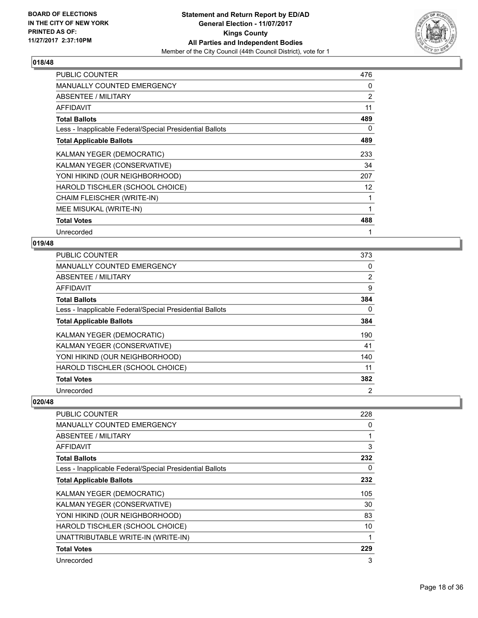

| <b>PUBLIC COUNTER</b>                                    | 476            |
|----------------------------------------------------------|----------------|
| <b>MANUALLY COUNTED EMERGENCY</b>                        | 0              |
| ABSENTEE / MILITARY                                      | $\overline{2}$ |
| AFFIDAVIT                                                | 11             |
| <b>Total Ballots</b>                                     | 489            |
| Less - Inapplicable Federal/Special Presidential Ballots | 0              |
| <b>Total Applicable Ballots</b>                          | 489            |
| KALMAN YEGER (DEMOCRATIC)                                | 233            |
| KALMAN YEGER (CONSERVATIVE)                              | 34             |
| YONI HIKIND (OUR NEIGHBORHOOD)                           | 207            |
| HAROLD TISCHLER (SCHOOL CHOICE)                          | 12             |
| CHAIM FLEISCHER (WRITE-IN)                               | 1              |
| MEE MISUKAL (WRITE-IN)                                   | 1              |
| <b>Total Votes</b>                                       | 488            |
| Unrecorded                                               |                |

#### **019/48**

| <b>PUBLIC COUNTER</b>                                    | 373            |
|----------------------------------------------------------|----------------|
| MANUALLY COUNTED EMERGENCY                               | 0              |
| ABSENTEE / MILITARY                                      | $\overline{2}$ |
| AFFIDAVIT                                                | 9              |
| <b>Total Ballots</b>                                     | 384            |
| Less - Inapplicable Federal/Special Presidential Ballots | 0              |
| <b>Total Applicable Ballots</b>                          | 384            |
| KALMAN YEGER (DEMOCRATIC)                                | 190            |
| KALMAN YEGER (CONSERVATIVE)                              | 41             |
| YONI HIKIND (OUR NEIGHBORHOOD)                           | 140            |
| HAROLD TISCHLER (SCHOOL CHOICE)                          | 11             |
| <b>Total Votes</b>                                       | 382            |
| Unrecorded                                               | $\overline{2}$ |

| PUBLIC COUNTER                                           | 228 |
|----------------------------------------------------------|-----|
| <b>MANUALLY COUNTED EMERGENCY</b>                        | 0   |
| <b>ABSENTEE / MILITARY</b>                               |     |
| AFFIDAVIT                                                | 3   |
| <b>Total Ballots</b>                                     | 232 |
| Less - Inapplicable Federal/Special Presidential Ballots | 0   |
| <b>Total Applicable Ballots</b>                          | 232 |
| KALMAN YEGER (DEMOCRATIC)                                | 105 |
| KALMAN YEGER (CONSERVATIVE)                              | 30  |
| YONI HIKIND (OUR NEIGHBORHOOD)                           | 83  |
| HAROLD TISCHLER (SCHOOL CHOICE)                          | 10  |
| UNATTRIBUTABLE WRITE-IN (WRITE-IN)                       |     |
| <b>Total Votes</b>                                       | 229 |
| Unrecorded                                               | 3   |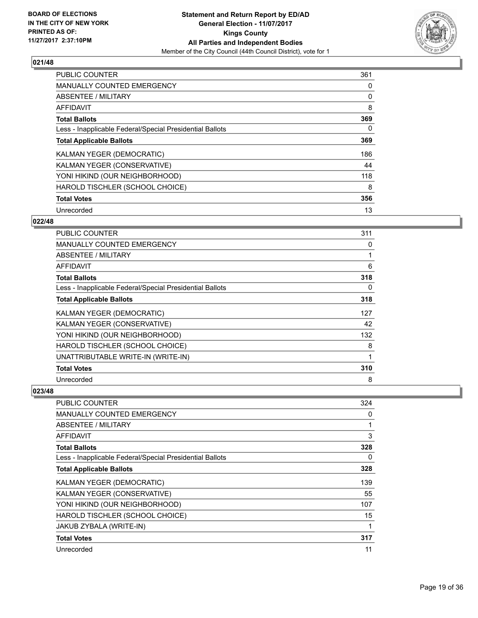

| <b>PUBLIC COUNTER</b>                                    | 361 |
|----------------------------------------------------------|-----|
| <b>MANUALLY COUNTED EMERGENCY</b>                        | 0   |
| ABSENTEE / MILITARY                                      | 0   |
| <b>AFFIDAVIT</b>                                         | 8   |
| <b>Total Ballots</b>                                     | 369 |
| Less - Inapplicable Federal/Special Presidential Ballots | 0   |
| <b>Total Applicable Ballots</b>                          | 369 |
| KALMAN YEGER (DEMOCRATIC)                                | 186 |
| KALMAN YEGER (CONSERVATIVE)                              | 44  |
| YONI HIKIND (OUR NEIGHBORHOOD)                           | 118 |
| HAROLD TISCHLER (SCHOOL CHOICE)                          | 8   |
| <b>Total Votes</b>                                       | 356 |
| Unrecorded                                               | 13  |

# **022/48**

| <b>PUBLIC COUNTER</b>                                    | 311 |
|----------------------------------------------------------|-----|
| MANUALLY COUNTED EMERGENCY                               | 0   |
| ABSENTEE / MILITARY                                      |     |
| AFFIDAVIT                                                | 6   |
| <b>Total Ballots</b>                                     | 318 |
| Less - Inapplicable Federal/Special Presidential Ballots | 0   |
| <b>Total Applicable Ballots</b>                          | 318 |
| KALMAN YEGER (DEMOCRATIC)                                | 127 |
| KALMAN YEGER (CONSERVATIVE)                              | 42  |
| YONI HIKIND (OUR NEIGHBORHOOD)                           | 132 |
| HAROLD TISCHLER (SCHOOL CHOICE)                          | 8   |
| UNATTRIBUTABLE WRITE-IN (WRITE-IN)                       | 1   |
| <b>Total Votes</b>                                       | 310 |
| Unrecorded                                               | 8   |

| <b>PUBLIC COUNTER</b>                                    | 324 |
|----------------------------------------------------------|-----|
| <b>MANUALLY COUNTED EMERGENCY</b>                        | 0   |
| ABSENTEE / MILITARY                                      |     |
| AFFIDAVIT                                                | 3   |
| <b>Total Ballots</b>                                     | 328 |
| Less - Inapplicable Federal/Special Presidential Ballots | 0   |
| <b>Total Applicable Ballots</b>                          | 328 |
| KALMAN YEGER (DEMOCRATIC)                                | 139 |
| KALMAN YEGER (CONSERVATIVE)                              | 55  |
| YONI HIKIND (OUR NEIGHBORHOOD)                           | 107 |
| HAROLD TISCHLER (SCHOOL CHOICE)                          | 15  |
| JAKUB ZYBALA (WRITE-IN)                                  |     |
| <b>Total Votes</b>                                       | 317 |
| Unrecorded                                               | 11  |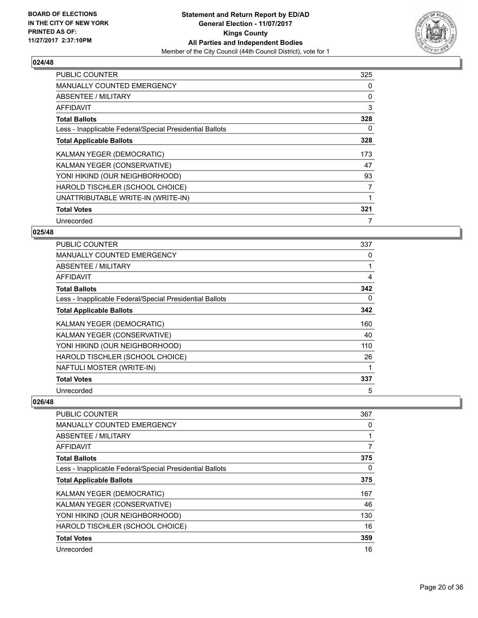

| <b>PUBLIC COUNTER</b>                                    | 325 |
|----------------------------------------------------------|-----|
| <b>MANUALLY COUNTED EMERGENCY</b>                        | 0   |
| <b>ABSENTEE / MILITARY</b>                               | 0   |
| AFFIDAVIT                                                | 3   |
| <b>Total Ballots</b>                                     | 328 |
| Less - Inapplicable Federal/Special Presidential Ballots | 0   |
| <b>Total Applicable Ballots</b>                          | 328 |
| KALMAN YEGER (DEMOCRATIC)                                | 173 |
| KALMAN YEGER (CONSERVATIVE)                              | 47  |
| YONI HIKIND (OUR NEIGHBORHOOD)                           | 93  |
| HAROLD TISCHLER (SCHOOL CHOICE)                          | 7   |
| UNATTRIBUTABLE WRITE-IN (WRITE-IN)                       |     |
| <b>Total Votes</b>                                       | 321 |
| Unrecorded                                               | 7   |

# **025/48**

| <b>PUBLIC COUNTER</b>                                    | 337 |
|----------------------------------------------------------|-----|
| <b>MANUALLY COUNTED EMERGENCY</b>                        | 0   |
| ABSENTEE / MILITARY                                      |     |
| AFFIDAVIT                                                | 4   |
| <b>Total Ballots</b>                                     | 342 |
| Less - Inapplicable Federal/Special Presidential Ballots | 0   |
| <b>Total Applicable Ballots</b>                          | 342 |
| KALMAN YEGER (DEMOCRATIC)                                | 160 |
| KALMAN YEGER (CONSERVATIVE)                              | 40  |
| YONI HIKIND (OUR NEIGHBORHOOD)                           | 110 |
| HAROLD TISCHLER (SCHOOL CHOICE)                          | 26  |
| NAFTULI MOSTER (WRITE-IN)                                |     |
| <b>Total Votes</b>                                       | 337 |
| Unrecorded                                               | 5   |

| <b>PUBLIC COUNTER</b>                                    | 367 |
|----------------------------------------------------------|-----|
| <b>MANUALLY COUNTED EMERGENCY</b>                        | 0   |
| ABSENTEE / MILITARY                                      |     |
| AFFIDAVIT                                                | 7   |
| <b>Total Ballots</b>                                     | 375 |
| Less - Inapplicable Federal/Special Presidential Ballots | 0   |
| <b>Total Applicable Ballots</b>                          | 375 |
| KALMAN YEGER (DEMOCRATIC)                                | 167 |
| KALMAN YEGER (CONSERVATIVE)                              | 46  |
| YONI HIKIND (OUR NEIGHBORHOOD)                           | 130 |
| HAROLD TISCHLER (SCHOOL CHOICE)                          | 16  |
| <b>Total Votes</b>                                       | 359 |
| Unrecorded                                               | 16  |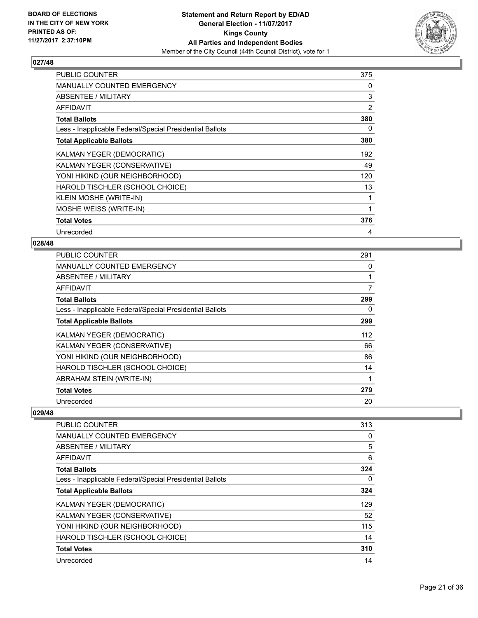

| <b>PUBLIC COUNTER</b>                                    | 375 |
|----------------------------------------------------------|-----|
| <b>MANUALLY COUNTED EMERGENCY</b>                        | 0   |
| ABSENTEE / MILITARY                                      | 3   |
| AFFIDAVIT                                                | 2   |
| <b>Total Ballots</b>                                     | 380 |
| Less - Inapplicable Federal/Special Presidential Ballots | 0   |
| <b>Total Applicable Ballots</b>                          | 380 |
| KALMAN YEGER (DEMOCRATIC)                                | 192 |
| KALMAN YEGER (CONSERVATIVE)                              | 49  |
| YONI HIKIND (OUR NEIGHBORHOOD)                           | 120 |
| HAROLD TISCHLER (SCHOOL CHOICE)                          | 13  |
| KLEIN MOSHE (WRITE-IN)                                   |     |
| MOSHE WEISS (WRITE-IN)                                   | 1   |
| <b>Total Votes</b>                                       | 376 |
| Unrecorded                                               | 4   |

### **028/48**

| <b>PUBLIC COUNTER</b>                                    | 291 |
|----------------------------------------------------------|-----|
| <b>MANUALLY COUNTED EMERGENCY</b>                        | 0   |
| ABSENTEE / MILITARY                                      |     |
| AFFIDAVIT                                                | 7   |
| <b>Total Ballots</b>                                     | 299 |
| Less - Inapplicable Federal/Special Presidential Ballots | 0   |
| <b>Total Applicable Ballots</b>                          | 299 |
| KALMAN YEGER (DEMOCRATIC)                                | 112 |
| KALMAN YEGER (CONSERVATIVE)                              | 66  |
| YONI HIKIND (OUR NEIGHBORHOOD)                           | 86  |
| HAROLD TISCHLER (SCHOOL CHOICE)                          | 14  |
| ABRAHAM STEIN (WRITE-IN)                                 |     |
| <b>Total Votes</b>                                       | 279 |
| Unrecorded                                               | 20  |

| <b>PUBLIC COUNTER</b>                                    | 313 |
|----------------------------------------------------------|-----|
| <b>MANUALLY COUNTED EMERGENCY</b>                        | 0   |
| ABSENTEE / MILITARY                                      | 5   |
| AFFIDAVIT                                                | 6   |
| <b>Total Ballots</b>                                     | 324 |
| Less - Inapplicable Federal/Special Presidential Ballots | 0   |
| <b>Total Applicable Ballots</b>                          | 324 |
| KALMAN YEGER (DEMOCRATIC)                                | 129 |
| KALMAN YEGER (CONSERVATIVE)                              | 52  |
| YONI HIKIND (OUR NEIGHBORHOOD)                           | 115 |
| HAROLD TISCHLER (SCHOOL CHOICE)                          | 14  |
| <b>Total Votes</b>                                       | 310 |
| Unrecorded                                               | 14  |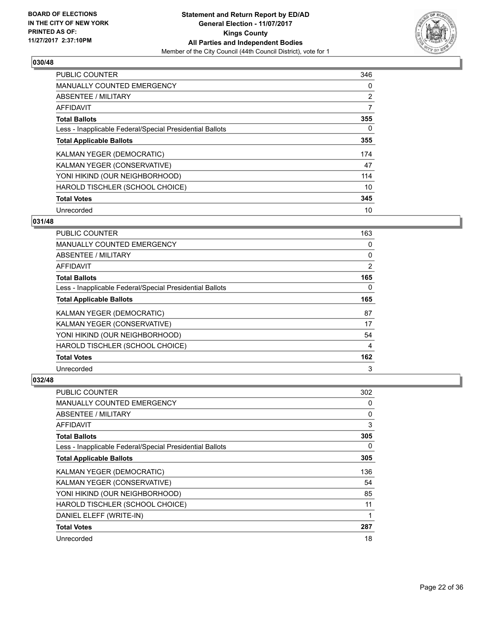

| <b>PUBLIC COUNTER</b>                                    | 346            |
|----------------------------------------------------------|----------------|
| <b>MANUALLY COUNTED EMERGENCY</b>                        | 0              |
| ABSENTEE / MILITARY                                      | $\overline{2}$ |
| <b>AFFIDAVIT</b>                                         | 7              |
| <b>Total Ballots</b>                                     | 355            |
| Less - Inapplicable Federal/Special Presidential Ballots | 0              |
| <b>Total Applicable Ballots</b>                          | 355            |
| KALMAN YEGER (DEMOCRATIC)                                | 174            |
| KALMAN YEGER (CONSERVATIVE)                              | 47             |
| YONI HIKIND (OUR NEIGHBORHOOD)                           | 114            |
| HAROLD TISCHLER (SCHOOL CHOICE)                          | 10             |
| <b>Total Votes</b>                                       | 345            |
| Unrecorded                                               | 10             |

# **031/48**

| PUBLIC COUNTER                                           | 163 |
|----------------------------------------------------------|-----|
| <b>MANUALLY COUNTED EMERGENCY</b>                        | 0   |
| ABSENTEE / MILITARY                                      | 0   |
| AFFIDAVIT                                                | 2   |
| <b>Total Ballots</b>                                     | 165 |
| Less - Inapplicable Federal/Special Presidential Ballots | 0   |
| <b>Total Applicable Ballots</b>                          | 165 |
| KALMAN YEGER (DEMOCRATIC)                                | 87  |
| KALMAN YEGER (CONSERVATIVE)                              | 17  |
| YONI HIKIND (OUR NEIGHBORHOOD)                           | 54  |
| HAROLD TISCHLER (SCHOOL CHOICE)                          | 4   |
| <b>Total Votes</b>                                       | 162 |
| Unrecorded                                               | 3   |

| PUBLIC COUNTER                                           | 302 |
|----------------------------------------------------------|-----|
| MANUALLY COUNTED EMERGENCY                               | 0   |
| ABSENTEE / MILITARY                                      | 0   |
| AFFIDAVIT                                                | 3   |
| <b>Total Ballots</b>                                     | 305 |
| Less - Inapplicable Federal/Special Presidential Ballots | 0   |
| <b>Total Applicable Ballots</b>                          | 305 |
| KALMAN YEGER (DEMOCRATIC)                                | 136 |
| KALMAN YEGER (CONSERVATIVE)                              | 54  |
| YONI HIKIND (OUR NEIGHBORHOOD)                           | 85  |
| HAROLD TISCHLER (SCHOOL CHOICE)                          | 11  |
| DANIEL ELEFF (WRITE-IN)                                  | 1   |
| <b>Total Votes</b>                                       | 287 |
| Unrecorded                                               | 18  |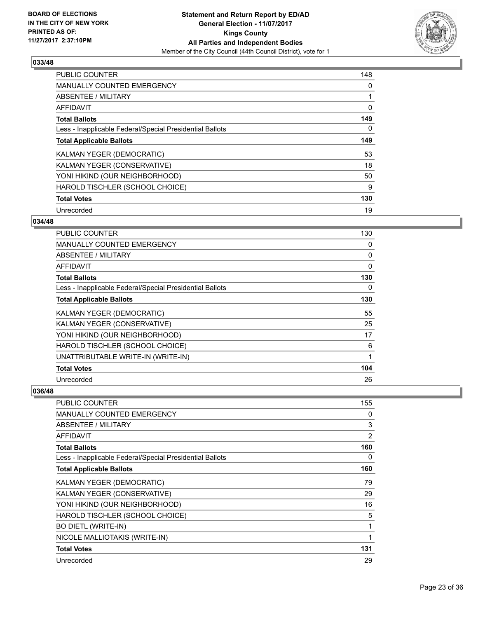

| <b>PUBLIC COUNTER</b>                                    | 148 |
|----------------------------------------------------------|-----|
| <b>MANUALLY COUNTED EMERGENCY</b>                        | 0   |
| ABSENTEE / MILITARY                                      |     |
| <b>AFFIDAVIT</b>                                         | 0   |
| <b>Total Ballots</b>                                     | 149 |
| Less - Inapplicable Federal/Special Presidential Ballots | 0   |
| <b>Total Applicable Ballots</b>                          | 149 |
| KALMAN YEGER (DEMOCRATIC)                                | 53  |
| KALMAN YEGER (CONSERVATIVE)                              | 18  |
| YONI HIKIND (OUR NEIGHBORHOOD)                           | 50  |
| HAROLD TISCHLER (SCHOOL CHOICE)                          | 9   |
| <b>Total Votes</b>                                       | 130 |
| Unrecorded                                               | 19  |

# **034/48**

| <b>PUBLIC COUNTER</b>                                    | 130 |
|----------------------------------------------------------|-----|
| MANUALLY COUNTED EMERGENCY                               | 0   |
| ABSENTEE / MILITARY                                      | 0   |
| AFFIDAVIT                                                | 0   |
| <b>Total Ballots</b>                                     | 130 |
| Less - Inapplicable Federal/Special Presidential Ballots | 0   |
| <b>Total Applicable Ballots</b>                          | 130 |
| KALMAN YEGER (DEMOCRATIC)                                | 55  |
| KALMAN YEGER (CONSERVATIVE)                              | 25  |
| YONI HIKIND (OUR NEIGHBORHOOD)                           | 17  |
| HAROLD TISCHLER (SCHOOL CHOICE)                          | 6   |
| UNATTRIBUTABLE WRITE-IN (WRITE-IN)                       | 1   |
| <b>Total Votes</b>                                       | 104 |
| Unrecorded                                               | 26  |

| <b>PUBLIC COUNTER</b>                                    | 155 |
|----------------------------------------------------------|-----|
| <b>MANUALLY COUNTED EMERGENCY</b>                        | 0   |
| <b>ABSENTEE / MILITARY</b>                               | 3   |
| AFFIDAVIT                                                | 2   |
| <b>Total Ballots</b>                                     | 160 |
| Less - Inapplicable Federal/Special Presidential Ballots | 0   |
| <b>Total Applicable Ballots</b>                          | 160 |
| KALMAN YEGER (DEMOCRATIC)                                | 79  |
| KALMAN YEGER (CONSERVATIVE)                              | 29  |
| YONI HIKIND (OUR NEIGHBORHOOD)                           | 16  |
| HAROLD TISCHLER (SCHOOL CHOICE)                          | 5   |
| <b>BO DIETL (WRITE-IN)</b>                               |     |
| NICOLE MALLIOTAKIS (WRITE-IN)                            | 1   |
| <b>Total Votes</b>                                       | 131 |
| Unrecorded                                               | 29  |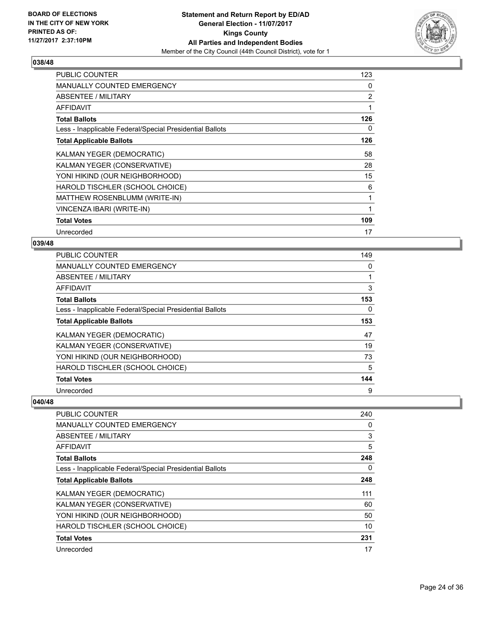

| <b>PUBLIC COUNTER</b>                                    | 123.           |
|----------------------------------------------------------|----------------|
| MANUALLY COUNTED EMERGENCY                               | 0              |
| ABSENTEE / MILITARY                                      | $\overline{2}$ |
| AFFIDAVIT                                                | 1              |
| <b>Total Ballots</b>                                     | 126            |
| Less - Inapplicable Federal/Special Presidential Ballots | 0              |
| <b>Total Applicable Ballots</b>                          | 126            |
| <b>KALMAN YEGER (DEMOCRATIC)</b>                         | 58             |
| KALMAN YEGER (CONSERVATIVE)                              | 28             |
| YONI HIKIND (OUR NEIGHBORHOOD)                           | 15             |
| HAROLD TISCHLER (SCHOOL CHOICE)                          | 6              |
| MATTHEW ROSENBLUMM (WRITE-IN)                            | 1              |
| VINCENZA IBARI (WRITE-IN)                                | 1              |
| <b>Total Votes</b>                                       | 109            |
| Unrecorded                                               | 17             |

### **039/48**

| <b>PUBLIC COUNTER</b>                                    | 149 |
|----------------------------------------------------------|-----|
| MANUALLY COUNTED EMERGENCY                               | 0   |
| ABSENTEE / MILITARY                                      | 1   |
| AFFIDAVIT                                                | 3   |
| <b>Total Ballots</b>                                     | 153 |
| Less - Inapplicable Federal/Special Presidential Ballots | 0   |
| <b>Total Applicable Ballots</b>                          | 153 |
| KALMAN YEGER (DEMOCRATIC)                                | 47  |
| KALMAN YEGER (CONSERVATIVE)                              | 19  |
| YONI HIKIND (OUR NEIGHBORHOOD)                           | 73  |
| HAROLD TISCHLER (SCHOOL CHOICE)                          | 5   |
| <b>Total Votes</b>                                       | 144 |
| Unrecorded                                               | 9   |

| <b>PUBLIC COUNTER</b>                                    | 240 |
|----------------------------------------------------------|-----|
| <b>MANUALLY COUNTED EMERGENCY</b>                        | 0   |
| ABSENTEE / MILITARY                                      | 3   |
| AFFIDAVIT                                                | 5   |
| <b>Total Ballots</b>                                     | 248 |
| Less - Inapplicable Federal/Special Presidential Ballots | 0   |
| <b>Total Applicable Ballots</b>                          | 248 |
| KALMAN YEGER (DEMOCRATIC)                                | 111 |
| KALMAN YEGER (CONSERVATIVE)                              | 60  |
| YONI HIKIND (OUR NEIGHBORHOOD)                           | 50  |
| HAROLD TISCHLER (SCHOOL CHOICE)                          | 10  |
| <b>Total Votes</b>                                       | 231 |
| Unrecorded                                               | 17  |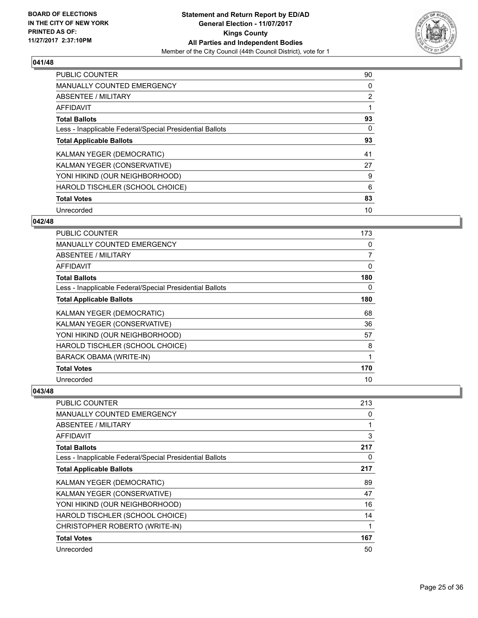

| <b>PUBLIC COUNTER</b>                                    | 90             |
|----------------------------------------------------------|----------------|
| <b>MANUALLY COUNTED EMERGENCY</b>                        | 0              |
| ABSENTEE / MILITARY                                      | $\overline{2}$ |
| <b>AFFIDAVIT</b>                                         |                |
| <b>Total Ballots</b>                                     | 93             |
| Less - Inapplicable Federal/Special Presidential Ballots | 0              |
| <b>Total Applicable Ballots</b>                          | 93             |
| KALMAN YEGER (DEMOCRATIC)                                | 41             |
| KALMAN YEGER (CONSERVATIVE)                              | 27             |
| YONI HIKIND (OUR NEIGHBORHOOD)                           | 9              |
| HAROLD TISCHLER (SCHOOL CHOICE)                          | 6              |
| <b>Total Votes</b>                                       | 83             |
| Unrecorded                                               | 10             |

# **042/48**

| <b>PUBLIC COUNTER</b>                                    | 173 |
|----------------------------------------------------------|-----|
| MANUALLY COUNTED EMERGENCY                               | 0   |
| ABSENTEE / MILITARY                                      | 7   |
| AFFIDAVIT                                                | 0   |
| <b>Total Ballots</b>                                     | 180 |
| Less - Inapplicable Federal/Special Presidential Ballots | 0   |
| <b>Total Applicable Ballots</b>                          | 180 |
| KALMAN YEGER (DEMOCRATIC)                                | 68  |
| KALMAN YEGER (CONSERVATIVE)                              | 36  |
| YONI HIKIND (OUR NEIGHBORHOOD)                           | 57  |
| HAROLD TISCHLER (SCHOOL CHOICE)                          | 8   |
| <b>BARACK OBAMA (WRITE-IN)</b>                           | 1   |
| <b>Total Votes</b>                                       | 170 |
| Unrecorded                                               | 10  |

| <b>PUBLIC COUNTER</b>                                    | 213 |
|----------------------------------------------------------|-----|
| MANUALLY COUNTED EMERGENCY                               | 0   |
| ABSENTEE / MILITARY                                      |     |
| AFFIDAVIT                                                | 3   |
| <b>Total Ballots</b>                                     | 217 |
| Less - Inapplicable Federal/Special Presidential Ballots | 0   |
| <b>Total Applicable Ballots</b>                          | 217 |
| KALMAN YEGER (DEMOCRATIC)                                | 89  |
| KALMAN YEGER (CONSERVATIVE)                              | 47  |
| YONI HIKIND (OUR NEIGHBORHOOD)                           | 16  |
| HAROLD TISCHLER (SCHOOL CHOICE)                          | 14  |
| CHRISTOPHER ROBERTO (WRITE-IN)                           | 1   |
| <b>Total Votes</b>                                       | 167 |
| Unrecorded                                               | 50  |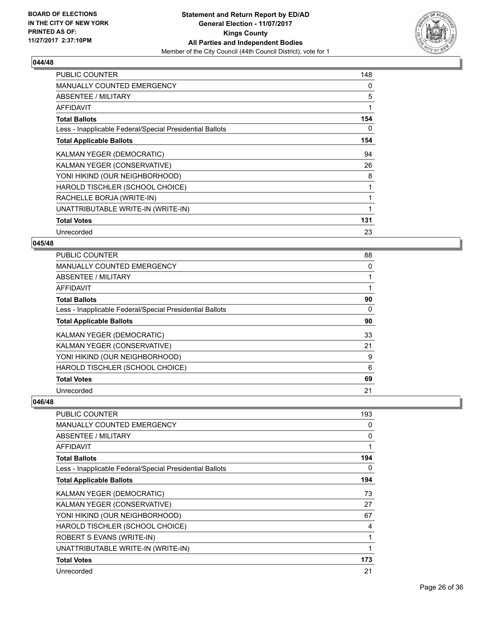

| <b>PUBLIC COUNTER</b>                                    | 148 |
|----------------------------------------------------------|-----|
| <b>MANUALLY COUNTED EMERGENCY</b>                        | 0   |
| ABSENTEE / MILITARY                                      | 5   |
| <b>AFFIDAVIT</b>                                         | 1   |
| <b>Total Ballots</b>                                     | 154 |
| Less - Inapplicable Federal/Special Presidential Ballots | 0   |
| <b>Total Applicable Ballots</b>                          | 154 |
| KALMAN YEGER (DEMOCRATIC)                                | 94  |
| KALMAN YEGER (CONSERVATIVE)                              | 26  |
| YONI HIKIND (OUR NEIGHBORHOOD)                           | 8   |
| HAROLD TISCHLER (SCHOOL CHOICE)                          | 1   |
| RACHELLE BORJA (WRITE-IN)                                |     |
| UNATTRIBUTABLE WRITE-IN (WRITE-IN)                       | 1   |
| <b>Total Votes</b>                                       | 131 |
| Unrecorded                                               | 23  |

#### **045/48**

| <b>PUBLIC COUNTER</b>                                    | 88 |
|----------------------------------------------------------|----|
| <b>MANUALLY COUNTED EMERGENCY</b>                        | 0  |
| <b>ABSENTEE / MILITARY</b>                               |    |
| <b>AFFIDAVIT</b>                                         |    |
| <b>Total Ballots</b>                                     | 90 |
| Less - Inapplicable Federal/Special Presidential Ballots | 0  |
| <b>Total Applicable Ballots</b>                          | 90 |
| KALMAN YEGER (DEMOCRATIC)                                | 33 |
| KALMAN YEGER (CONSERVATIVE)                              | 21 |
| YONI HIKIND (OUR NEIGHBORHOOD)                           | 9  |
| HAROLD TISCHLER (SCHOOL CHOICE)                          | 6  |
| <b>Total Votes</b>                                       | 69 |
| Unrecorded                                               | 21 |

| PUBLIC COUNTER                                           | 193 |
|----------------------------------------------------------|-----|
| <b>MANUALLY COUNTED EMERGENCY</b>                        | 0   |
| ABSENTEE / MILITARY                                      | 0   |
| AFFIDAVIT                                                | 1   |
| <b>Total Ballots</b>                                     | 194 |
| Less - Inapplicable Federal/Special Presidential Ballots | 0   |
| <b>Total Applicable Ballots</b>                          | 194 |
| KALMAN YEGER (DEMOCRATIC)                                | 73  |
| KALMAN YEGER (CONSERVATIVE)                              | 27  |
| YONI HIKIND (OUR NEIGHBORHOOD)                           | 67  |
| HAROLD TISCHLER (SCHOOL CHOICE)                          | 4   |
| ROBERT S EVANS (WRITE-IN)                                | 1   |
| UNATTRIBUTABLE WRITE-IN (WRITE-IN)                       | 1   |
| <b>Total Votes</b>                                       | 173 |
| Unrecorded                                               | 21  |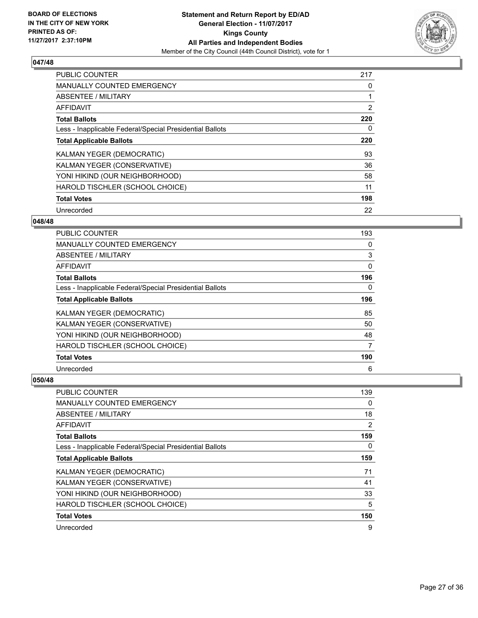

| PUBLIC COUNTER                                           | 217            |
|----------------------------------------------------------|----------------|
| <b>MANUALLY COUNTED EMERGENCY</b>                        | 0              |
| ABSENTEE / MILITARY                                      |                |
| <b>AFFIDAVIT</b>                                         | $\overline{2}$ |
| <b>Total Ballots</b>                                     | 220            |
| Less - Inapplicable Federal/Special Presidential Ballots | 0              |
| <b>Total Applicable Ballots</b>                          | 220            |
| KALMAN YEGER (DEMOCRATIC)                                | 93             |
| KALMAN YEGER (CONSERVATIVE)                              | 36             |
| YONI HIKIND (OUR NEIGHBORHOOD)                           | 58             |
| HAROLD TISCHLER (SCHOOL CHOICE)                          | 11             |
| <b>Total Votes</b>                                       | 198            |
| Unrecorded                                               | 22             |

#### **048/48**

| <b>PUBLIC COUNTER</b>                                    | 193      |
|----------------------------------------------------------|----------|
| <b>MANUALLY COUNTED EMERGENCY</b>                        | 0        |
| ABSENTEE / MILITARY                                      | 3        |
| <b>AFFIDAVIT</b>                                         | 0        |
| <b>Total Ballots</b>                                     | 196      |
| Less - Inapplicable Federal/Special Presidential Ballots | $\Omega$ |
| <b>Total Applicable Ballots</b>                          | 196      |
| KALMAN YEGER (DEMOCRATIC)                                | 85       |
| KALMAN YEGER (CONSERVATIVE)                              | 50       |
| YONI HIKIND (OUR NEIGHBORHOOD)                           | 48       |
| HAROLD TISCHLER (SCHOOL CHOICE)                          | 7        |
| <b>Total Votes</b>                                       | 190      |
| Unrecorded                                               | 6        |

| PUBLIC COUNTER                                           | 139            |
|----------------------------------------------------------|----------------|
| <b>MANUALLY COUNTED EMERGENCY</b>                        | 0              |
| ABSENTEE / MILITARY                                      | 18             |
| AFFIDAVIT                                                | $\overline{2}$ |
| <b>Total Ballots</b>                                     | 159            |
| Less - Inapplicable Federal/Special Presidential Ballots | 0              |
| <b>Total Applicable Ballots</b>                          | 159            |
| KALMAN YEGER (DEMOCRATIC)                                | 71             |
| KALMAN YEGER (CONSERVATIVE)                              | 41             |
| YONI HIKIND (OUR NEIGHBORHOOD)                           | 33             |
| HAROLD TISCHLER (SCHOOL CHOICE)                          | 5              |
| <b>Total Votes</b>                                       | 150            |
| Unrecorded                                               | 9              |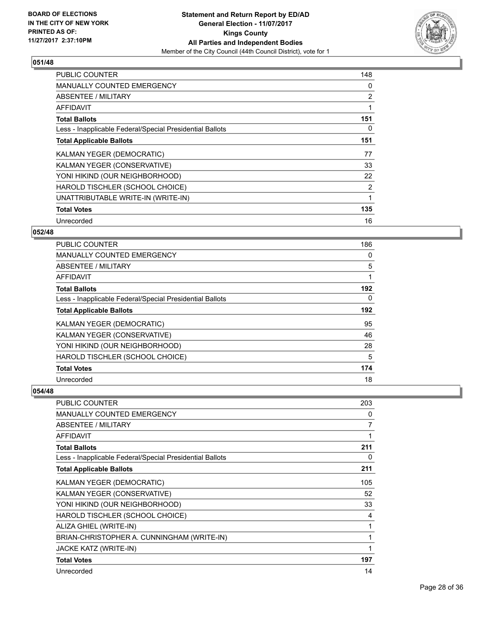

| <b>PUBLIC COUNTER</b>                                    | 148            |
|----------------------------------------------------------|----------------|
| <b>MANUALLY COUNTED EMERGENCY</b>                        | 0              |
| <b>ABSENTEE / MILITARY</b>                               | 2              |
| AFFIDAVIT                                                |                |
| <b>Total Ballots</b>                                     | 151            |
| Less - Inapplicable Federal/Special Presidential Ballots | 0              |
| <b>Total Applicable Ballots</b>                          | 151            |
| KALMAN YEGER (DEMOCRATIC)                                | 77             |
| KALMAN YEGER (CONSERVATIVE)                              | 33             |
| YONI HIKIND (OUR NEIGHBORHOOD)                           | 22             |
| HAROLD TISCHLER (SCHOOL CHOICE)                          | $\overline{2}$ |
| UNATTRIBUTABLE WRITE-IN (WRITE-IN)                       | 1              |
| <b>Total Votes</b>                                       | 135            |
| Unrecorded                                               | 16             |

# **052/48**

| PUBLIC COUNTER                                           | 186 |
|----------------------------------------------------------|-----|
| <b>MANUALLY COUNTED EMERGENCY</b>                        | 0   |
| ABSENTEE / MILITARY                                      | 5   |
| AFFIDAVIT                                                | 1   |
| <b>Total Ballots</b>                                     | 192 |
| Less - Inapplicable Federal/Special Presidential Ballots | 0   |
| <b>Total Applicable Ballots</b>                          | 192 |
| KALMAN YEGER (DEMOCRATIC)                                | 95  |
| KALMAN YEGER (CONSERVATIVE)                              | 46  |
| YONI HIKIND (OUR NEIGHBORHOOD)                           | 28  |
| HAROLD TISCHLER (SCHOOL CHOICE)                          | 5   |
| <b>Total Votes</b>                                       | 174 |
| Unrecorded                                               | 18  |

| PUBLIC COUNTER                                           | 203 |
|----------------------------------------------------------|-----|
| <b>MANUALLY COUNTED EMERGENCY</b>                        | 0   |
| ABSENTEE / MILITARY                                      | 7   |
| <b>AFFIDAVIT</b>                                         | 1   |
| <b>Total Ballots</b>                                     | 211 |
| Less - Inapplicable Federal/Special Presidential Ballots | 0   |
| <b>Total Applicable Ballots</b>                          | 211 |
| KALMAN YEGER (DEMOCRATIC)                                | 105 |
| KALMAN YEGER (CONSERVATIVE)                              | 52  |
| YONI HIKIND (OUR NEIGHBORHOOD)                           | 33  |
| HAROLD TISCHLER (SCHOOL CHOICE)                          | 4   |
| ALIZA GHIEL (WRITE-IN)                                   | 1   |
| BRIAN-CHRISTOPHER A. CUNNINGHAM (WRITE-IN)               | 1   |
| <b>JACKE KATZ (WRITE-IN)</b>                             |     |
| <b>Total Votes</b>                                       | 197 |
| Unrecorded                                               | 14  |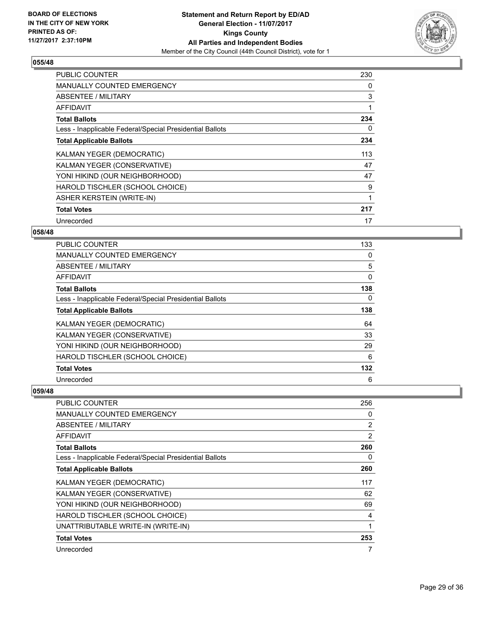

| <b>PUBLIC COUNTER</b>                                    | 230 |
|----------------------------------------------------------|-----|
| <b>MANUALLY COUNTED EMERGENCY</b>                        | 0   |
| <b>ABSENTEE / MILITARY</b>                               | 3   |
| AFFIDAVIT                                                |     |
| <b>Total Ballots</b>                                     | 234 |
| Less - Inapplicable Federal/Special Presidential Ballots | 0   |
| <b>Total Applicable Ballots</b>                          | 234 |
| KALMAN YEGER (DEMOCRATIC)                                | 113 |
| KALMAN YEGER (CONSERVATIVE)                              | 47  |
| YONI HIKIND (OUR NEIGHBORHOOD)                           | 47  |
| HAROLD TISCHLER (SCHOOL CHOICE)                          | 9   |
| <b>ASHER KERSTEIN (WRITE-IN)</b>                         | 1   |
| <b>Total Votes</b>                                       | 217 |
| Unrecorded                                               | 17  |

# **058/48**

| <b>PUBLIC COUNTER</b>                                    | 133 |
|----------------------------------------------------------|-----|
| <b>MANUALLY COUNTED EMERGENCY</b>                        | 0   |
| ABSENTEE / MILITARY                                      | 5   |
| AFFIDAVIT                                                | 0   |
| <b>Total Ballots</b>                                     | 138 |
| Less - Inapplicable Federal/Special Presidential Ballots | 0   |
| <b>Total Applicable Ballots</b>                          | 138 |
| KALMAN YEGER (DEMOCRATIC)                                | 64  |
| KALMAN YEGER (CONSERVATIVE)                              | 33  |
| YONI HIKIND (OUR NEIGHBORHOOD)                           | 29  |
| HAROLD TISCHLER (SCHOOL CHOICE)                          | 6   |
| <b>Total Votes</b>                                       | 132 |
| Unrecorded                                               | 6   |

| <b>PUBLIC COUNTER</b>                                    | 256            |
|----------------------------------------------------------|----------------|
| MANUALLY COUNTED EMERGENCY                               | 0              |
| ABSENTEE / MILITARY                                      | $\overline{2}$ |
| AFFIDAVIT                                                | 2              |
| <b>Total Ballots</b>                                     | 260            |
| Less - Inapplicable Federal/Special Presidential Ballots | 0              |
| <b>Total Applicable Ballots</b>                          | 260            |
| KALMAN YEGER (DEMOCRATIC)                                | 117            |
| KALMAN YEGER (CONSERVATIVE)                              | 62             |
| YONI HIKIND (OUR NEIGHBORHOOD)                           | 69             |
| HAROLD TISCHLER (SCHOOL CHOICE)                          | 4              |
| UNATTRIBUTABLE WRITE-IN (WRITE-IN)                       | 1              |
| <b>Total Votes</b>                                       | 253            |
| Unrecorded                                               | 7              |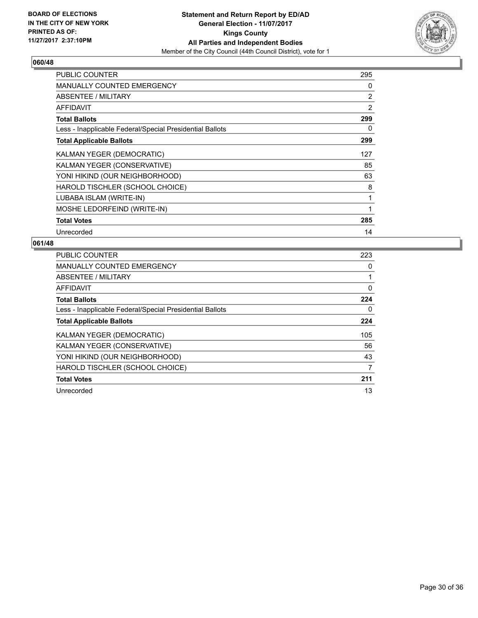

| <b>PUBLIC COUNTER</b>                                    | 295            |
|----------------------------------------------------------|----------------|
| <b>MANUALLY COUNTED EMERGENCY</b>                        | 0              |
| ABSENTEE / MILITARY                                      | $\overline{2}$ |
| AFFIDAVIT                                                | 2              |
| <b>Total Ballots</b>                                     | 299            |
| Less - Inapplicable Federal/Special Presidential Ballots | 0              |
| <b>Total Applicable Ballots</b>                          | 299            |
| KALMAN YEGER (DEMOCRATIC)                                | 127            |
| KALMAN YEGER (CONSERVATIVE)                              | 85             |
| YONI HIKIND (OUR NEIGHBORHOOD)                           | 63             |
| HAROLD TISCHLER (SCHOOL CHOICE)                          | 8              |
| LUBABA ISLAM (WRITE-IN)                                  | 1              |
| MOSHE LEDORFEIND (WRITE-IN)                              | 1              |
| <b>Total Votes</b>                                       | 285            |
| Unrecorded                                               | 14             |

| <b>PUBLIC COUNTER</b>                                    | 223 |
|----------------------------------------------------------|-----|
| <b>MANUALLY COUNTED EMERGENCY</b>                        | 0   |
| ABSENTEE / MILITARY                                      |     |
| AFFIDAVIT                                                | 0   |
| <b>Total Ballots</b>                                     | 224 |
| Less - Inapplicable Federal/Special Presidential Ballots | 0   |
| <b>Total Applicable Ballots</b>                          | 224 |
| KALMAN YEGER (DEMOCRATIC)                                | 105 |
| KALMAN YEGER (CONSERVATIVE)                              | 56  |
| YONI HIKIND (OUR NEIGHBORHOOD)                           | 43  |
| HAROLD TISCHLER (SCHOOL CHOICE)                          | 7   |
| <b>Total Votes</b>                                       | 211 |
| Unrecorded                                               | 13  |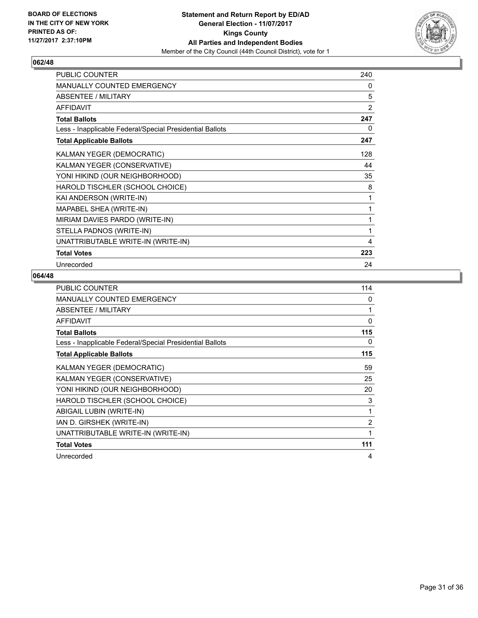

| <b>PUBLIC COUNTER</b>                                    | 240            |
|----------------------------------------------------------|----------------|
| MANUALLY COUNTED EMERGENCY                               | 0              |
| ABSENTEE / MILITARY                                      | 5              |
| <b>AFFIDAVIT</b>                                         | $\overline{2}$ |
| <b>Total Ballots</b>                                     | 247            |
| Less - Inapplicable Federal/Special Presidential Ballots | 0              |
| <b>Total Applicable Ballots</b>                          | 247            |
| KALMAN YEGER (DEMOCRATIC)                                | 128            |
| KALMAN YEGER (CONSERVATIVE)                              | 44             |
| YONI HIKIND (OUR NEIGHBORHOOD)                           | 35             |
| HAROLD TISCHLER (SCHOOL CHOICE)                          | 8              |
| KAI ANDERSON (WRITE-IN)                                  | 1              |
| MAPABEL SHEA (WRITE-IN)                                  | 1              |
| MIRIAM DAVIES PARDO (WRITE-IN)                           | 1              |
| STELLA PADNOS (WRITE-IN)                                 | 1              |
| UNATTRIBUTABLE WRITE-IN (WRITE-IN)                       | 4              |
| <b>Total Votes</b>                                       | 223            |
| Unrecorded                                               | 24             |

| <b>PUBLIC COUNTER</b>                                    | 114            |
|----------------------------------------------------------|----------------|
| <b>MANUALLY COUNTED EMERGENCY</b>                        | 0              |
| ABSENTEE / MILITARY                                      |                |
| AFFIDAVIT                                                | $\Omega$       |
| <b>Total Ballots</b>                                     | 115            |
| Less - Inapplicable Federal/Special Presidential Ballots | 0              |
| <b>Total Applicable Ballots</b>                          | 115            |
| KALMAN YEGER (DEMOCRATIC)                                | 59             |
| KALMAN YEGER (CONSERVATIVE)                              | 25             |
| YONI HIKIND (OUR NEIGHBORHOOD)                           | 20             |
| HAROLD TISCHLER (SCHOOL CHOICE)                          | 3              |
| ABIGAIL LUBIN (WRITE-IN)                                 | 1              |
| IAN D. GIRSHEK (WRITE-IN)                                | $\overline{2}$ |
| UNATTRIBUTABLE WRITE-IN (WRITE-IN)                       | 1              |
| <b>Total Votes</b>                                       | 111            |
| Unrecorded                                               | 4              |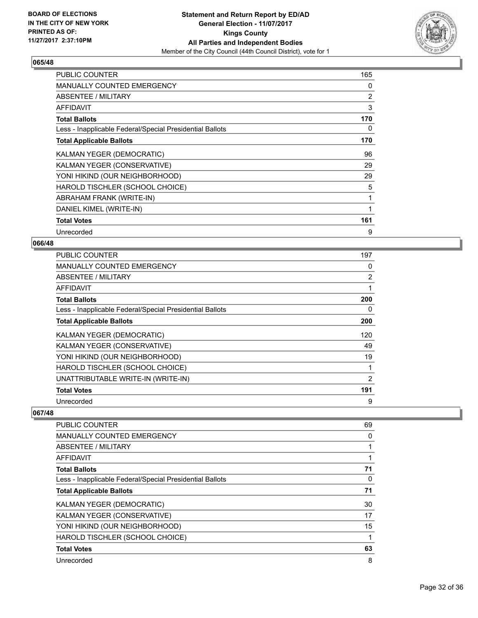

| <b>PUBLIC COUNTER</b>                                    | 165            |
|----------------------------------------------------------|----------------|
| <b>MANUALLY COUNTED EMERGENCY</b>                        | 0              |
| ABSENTEE / MILITARY                                      | $\overline{2}$ |
| <b>AFFIDAVIT</b>                                         | 3              |
| <b>Total Ballots</b>                                     | 170            |
| Less - Inapplicable Federal/Special Presidential Ballots | 0              |
| <b>Total Applicable Ballots</b>                          | 170            |
| KALMAN YEGER (DEMOCRATIC)                                | 96             |
| KALMAN YEGER (CONSERVATIVE)                              | 29             |
| YONI HIKIND (OUR NEIGHBORHOOD)                           | 29             |
| HAROLD TISCHLER (SCHOOL CHOICE)                          | 5              |
| ABRAHAM FRANK (WRITE-IN)                                 | 1              |
| DANIEL KIMEL (WRITE-IN)                                  | $\mathbf{1}$   |
| <b>Total Votes</b>                                       | 161            |
| Unrecorded                                               | 9              |

### **066/48**

| <b>PUBLIC COUNTER</b>                                    | 197            |
|----------------------------------------------------------|----------------|
| <b>MANUALLY COUNTED EMERGENCY</b>                        | 0              |
| ABSENTEE / MILITARY                                      | $\overline{2}$ |
| AFFIDAVIT                                                |                |
| <b>Total Ballots</b>                                     | 200            |
| Less - Inapplicable Federal/Special Presidential Ballots | 0              |
| <b>Total Applicable Ballots</b>                          | 200            |
| KALMAN YEGER (DEMOCRATIC)                                | 120            |
| KALMAN YEGER (CONSERVATIVE)                              | 49             |
| YONI HIKIND (OUR NEIGHBORHOOD)                           | 19             |
| HAROLD TISCHLER (SCHOOL CHOICE)                          |                |
| UNATTRIBUTABLE WRITE-IN (WRITE-IN)                       | 2              |
| <b>Total Votes</b>                                       | 191            |
| Unrecorded                                               | 9              |

| <b>PUBLIC COUNTER</b>                                    | 69 |
|----------------------------------------------------------|----|
| <b>MANUALLY COUNTED EMERGENCY</b>                        | 0  |
| ABSENTEE / MILITARY                                      |    |
| AFFIDAVIT                                                |    |
| <b>Total Ballots</b>                                     | 71 |
| Less - Inapplicable Federal/Special Presidential Ballots | 0  |
| <b>Total Applicable Ballots</b>                          | 71 |
| KALMAN YEGER (DEMOCRATIC)                                | 30 |
| KALMAN YEGER (CONSERVATIVE)                              | 17 |
| YONI HIKIND (OUR NEIGHBORHOOD)                           | 15 |
| HAROLD TISCHLER (SCHOOL CHOICE)                          | 1  |
| <b>Total Votes</b>                                       | 63 |
| Unrecorded                                               | 8  |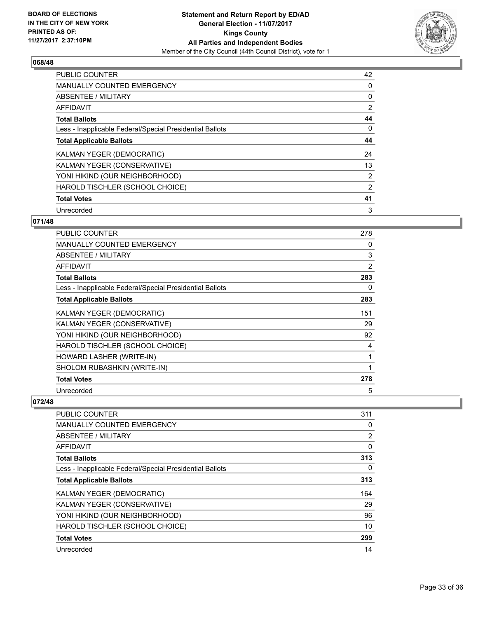

| <b>PUBLIC COUNTER</b>                                    | 42             |
|----------------------------------------------------------|----------------|
| <b>MANUALLY COUNTED EMERGENCY</b>                        | 0              |
| ABSENTEE / MILITARY                                      | 0              |
| <b>AFFIDAVIT</b>                                         | $\overline{2}$ |
| <b>Total Ballots</b>                                     | 44             |
| Less - Inapplicable Federal/Special Presidential Ballots | 0              |
| <b>Total Applicable Ballots</b>                          | 44             |
| KALMAN YEGER (DEMOCRATIC)                                | 24             |
| KALMAN YEGER (CONSERVATIVE)                              | 13             |
| YONI HIKIND (OUR NEIGHBORHOOD)                           | $\overline{2}$ |
| HAROLD TISCHLER (SCHOOL CHOICE)                          | 2              |
| <b>Total Votes</b>                                       | 41             |
| Unrecorded                                               | 3              |

# **071/48**

| PUBLIC COUNTER                                           | 278 |
|----------------------------------------------------------|-----|
| <b>MANUALLY COUNTED EMERGENCY</b>                        | 0   |
| ABSENTEE / MILITARY                                      | 3   |
| AFFIDAVIT                                                | 2   |
| <b>Total Ballots</b>                                     | 283 |
| Less - Inapplicable Federal/Special Presidential Ballots | 0   |
| <b>Total Applicable Ballots</b>                          | 283 |
| KALMAN YEGER (DEMOCRATIC)                                | 151 |
| KALMAN YEGER (CONSERVATIVE)                              | 29  |
| YONI HIKIND (OUR NEIGHBORHOOD)                           | 92  |
| HAROLD TISCHLER (SCHOOL CHOICE)                          | 4   |
| HOWARD LASHER (WRITE-IN)                                 | 1   |
| SHOLOM RUBASHKIN (WRITE-IN)                              | 1   |
| <b>Total Votes</b>                                       | 278 |
| Unrecorded                                               | 5   |

| <b>PUBLIC COUNTER</b>                                    | 311      |
|----------------------------------------------------------|----------|
| <b>MANUALLY COUNTED EMERGENCY</b>                        | 0        |
| ABSENTEE / MILITARY                                      | 2        |
| AFFIDAVIT                                                | 0        |
| <b>Total Ballots</b>                                     | 313      |
| Less - Inapplicable Federal/Special Presidential Ballots | $\Omega$ |
| <b>Total Applicable Ballots</b>                          | 313      |
| KALMAN YEGER (DEMOCRATIC)                                | 164      |
| KALMAN YEGER (CONSERVATIVE)                              | 29       |
| YONI HIKIND (OUR NEIGHBORHOOD)                           | 96       |
| HAROLD TISCHLER (SCHOOL CHOICE)                          | 10       |
| <b>Total Votes</b>                                       | 299      |
| Unrecorded                                               | 14       |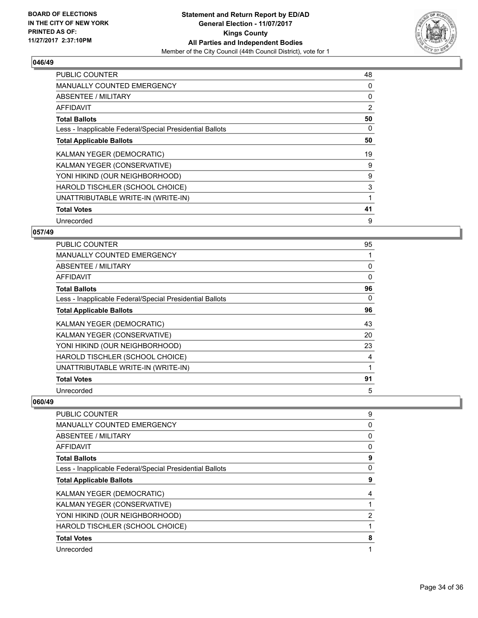

| <b>PUBLIC COUNTER</b>                                    | 48 |
|----------------------------------------------------------|----|
| <b>MANUALLY COUNTED EMERGENCY</b>                        | 0  |
| ABSENTEE / MILITARY                                      | 0  |
| AFFIDAVIT                                                | 2  |
| <b>Total Ballots</b>                                     | 50 |
| Less - Inapplicable Federal/Special Presidential Ballots | 0  |
| <b>Total Applicable Ballots</b>                          | 50 |
| KALMAN YEGER (DEMOCRATIC)                                | 19 |
| KALMAN YEGER (CONSERVATIVE)                              | 9  |
| YONI HIKIND (OUR NEIGHBORHOOD)                           | 9  |
| HAROLD TISCHLER (SCHOOL CHOICE)                          | 3  |
| UNATTRIBUTABLE WRITE-IN (WRITE-IN)                       |    |
| <b>Total Votes</b>                                       | 41 |
| Unrecorded                                               | 9  |

# **057/49**

| <b>PUBLIC COUNTER</b>                                    | 95       |
|----------------------------------------------------------|----------|
| <b>MANUALLY COUNTED EMERGENCY</b>                        |          |
| ABSENTEE / MILITARY                                      | 0        |
| AFFIDAVIT                                                | $\Omega$ |
| <b>Total Ballots</b>                                     | 96       |
| Less - Inapplicable Federal/Special Presidential Ballots | 0        |
| <b>Total Applicable Ballots</b>                          | 96       |
| KALMAN YEGER (DEMOCRATIC)                                | 43       |
| KALMAN YEGER (CONSERVATIVE)                              | 20       |
| YONI HIKIND (OUR NEIGHBORHOOD)                           | 23       |
| HAROLD TISCHLER (SCHOOL CHOICE)                          | 4        |
| UNATTRIBUTABLE WRITE-IN (WRITE-IN)                       |          |
| <b>Total Votes</b>                                       | 91       |
| Unrecorded                                               | 5        |

| <b>PUBLIC COUNTER</b><br>MANUALLY COUNTED EMERGENCY<br>ABSENTEE / MILITARY<br>AFFIDAVIT<br><b>Total Ballots</b><br>Less - Inapplicable Federal/Special Presidential Ballots<br><b>Total Applicable Ballots</b><br>KALMAN YEGER (DEMOCRATIC)<br>KALMAN YEGER (CONSERVATIVE)<br>YONI HIKIND (OUR NEIGHBORHOOD)<br>HAROLD TISCHLER (SCHOOL CHOICE)<br><b>Total Votes</b> |            |   |
|-----------------------------------------------------------------------------------------------------------------------------------------------------------------------------------------------------------------------------------------------------------------------------------------------------------------------------------------------------------------------|------------|---|
|                                                                                                                                                                                                                                                                                                                                                                       |            | 9 |
|                                                                                                                                                                                                                                                                                                                                                                       |            | 0 |
|                                                                                                                                                                                                                                                                                                                                                                       |            | 0 |
|                                                                                                                                                                                                                                                                                                                                                                       |            | 0 |
|                                                                                                                                                                                                                                                                                                                                                                       |            | 9 |
|                                                                                                                                                                                                                                                                                                                                                                       |            | 0 |
|                                                                                                                                                                                                                                                                                                                                                                       |            | 9 |
|                                                                                                                                                                                                                                                                                                                                                                       |            | 4 |
|                                                                                                                                                                                                                                                                                                                                                                       |            |   |
|                                                                                                                                                                                                                                                                                                                                                                       |            | 2 |
|                                                                                                                                                                                                                                                                                                                                                                       |            |   |
|                                                                                                                                                                                                                                                                                                                                                                       |            | 8 |
|                                                                                                                                                                                                                                                                                                                                                                       | Unrecorded | 1 |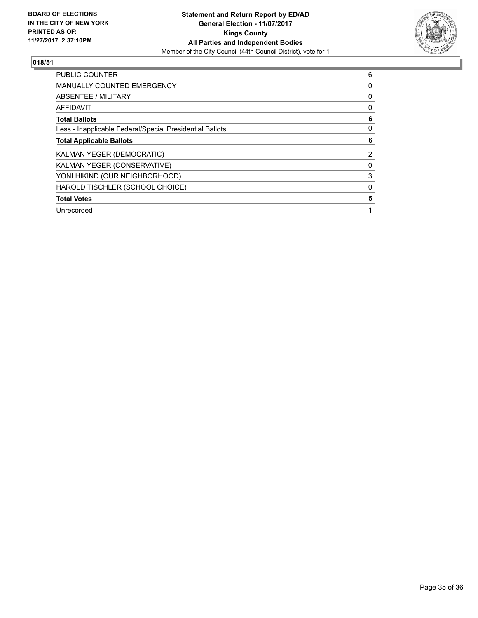

| <b>PUBLIC COUNTER</b>                                    | 6 |
|----------------------------------------------------------|---|
| <b>MANUALLY COUNTED EMERGENCY</b>                        | 0 |
| ABSENTEE / MILITARY                                      | 0 |
| <b>AFFIDAVIT</b>                                         | 0 |
| <b>Total Ballots</b>                                     | 6 |
| Less - Inapplicable Federal/Special Presidential Ballots | 0 |
| <b>Total Applicable Ballots</b>                          | 6 |
| KALMAN YEGER (DEMOCRATIC)                                | 2 |
| KALMAN YEGER (CONSERVATIVE)                              | 0 |
| YONI HIKIND (OUR NEIGHBORHOOD)                           | 3 |
| HAROLD TISCHLER (SCHOOL CHOICE)                          | 0 |
| <b>Total Votes</b>                                       | 5 |
| Unrecorded                                               |   |